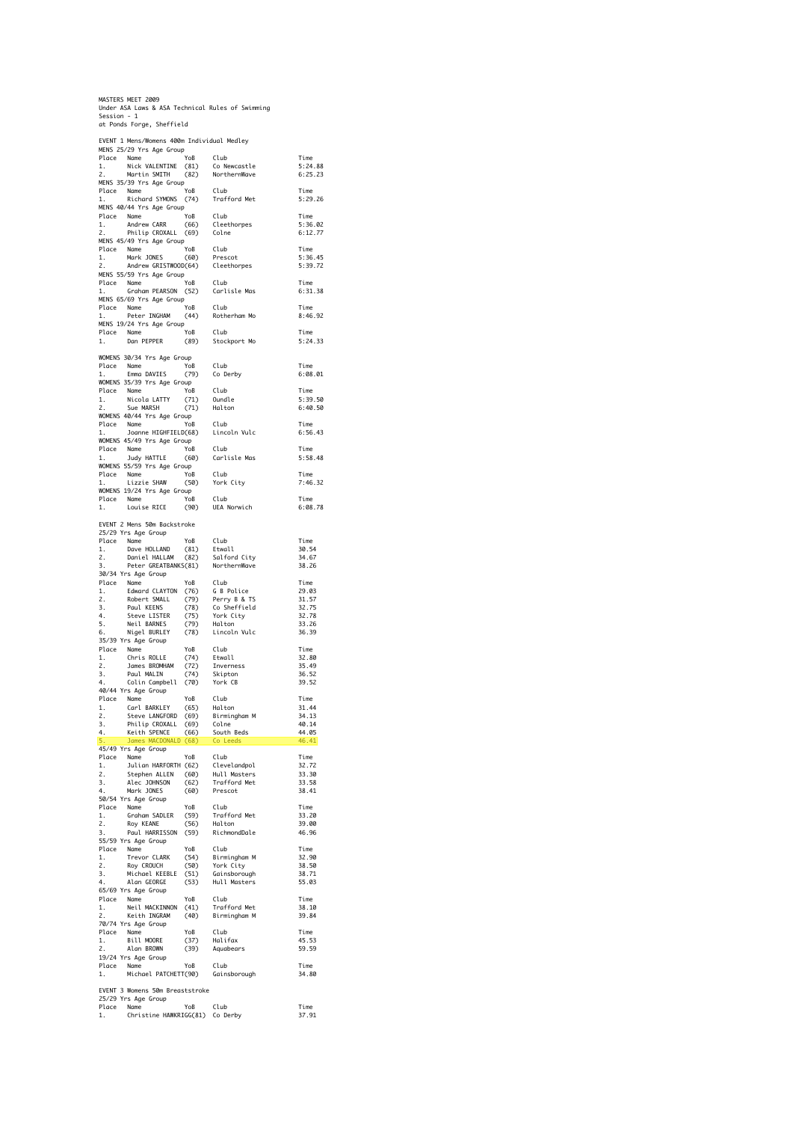MASTERS MEET 2009 Under ASA Laws & ASA Technical Rules of Swimming Session - 1 at Ponds Forge, Sheffield

|                     | MENS 25/29 Yrs Age Group                                                                                                                                                                                                                                     |                                      | EVENT 1 Mens/Womens 400m Individual Medley |                    |
|---------------------|--------------------------------------------------------------------------------------------------------------------------------------------------------------------------------------------------------------------------------------------------------------|--------------------------------------|--------------------------------------------|--------------------|
|                     | COMMON COMMON COMMON COMMON<br>Nick VALENTINE (81) Co Newcastle<br>Martin SMITH (82) NorthernWave<br>Place Name                                                                                                                                              |                                      |                                            | Time               |
| 1.<br>2.            |                                                                                                                                                                                                                                                              |                                      |                                            | 5:24.88<br>6:25.23 |
|                     | MENS 35/39 Yrs Age Group                                                                                                                                                                                                                                     |                                      |                                            |                    |
| Place Name          |                                                                                                                                                                                                                                                              | YoB Club<br>(74) Traf                |                                            | Time               |
| 1.                  | Richard SYMONS                                                                                                                                                                                                                                               |                                      | Trafford Met                               | 5:29.26            |
| Place Name          | MENS 40/44 Yrs Age Group                                                                                                                                                                                                                                     | YoB Club                             |                                            | Time               |
| 1.                  | Andrew CARR<br>Philip Charles                                                                                                                                                                                                                                | (66)                                 | Cleethorpes                                | 5:36.02            |
| 2.                  | Philip CROXALL                                                                                                                                                                                                                                               | (69)                                 | Colne                                      | 6:12.77            |
|                     | MENS 45/49 Yrs Age Group                                                                                                                                                                                                                                     | YoB                                  | Club                                       | Time               |
|                     | Place Name<br>1. Mark JONES<br>2. Andrew GRIS                                                                                                                                                                                                                |                                      | Prescot                                    | 5:36.45            |
| 2.                  | mark JONES (60)<br>Andrew GRISTWOOD(64)<br>⁄59 Yrs Ass C                                                                                                                                                                                                     |                                      | Cleethorpes                                | 5:39.72            |
|                     | MENS 55/59 Yrs Age Group                                                                                                                                                                                                                                     |                                      |                                            |                    |
| Place Name<br>1.    | Graham PEARSON (52)                                                                                                                                                                                                                                          | YoB                                  | Club<br>Carlisle Mas                       | Time<br>6:31.38    |
|                     | MENS 65/69 Yrs Age Group                                                                                                                                                                                                                                     |                                      |                                            |                    |
| Place Name          |                                                                                                                                                                                                                                                              | YoB                                  | Club                                       | Time               |
| 1.                  | Peter INGHAM                                                                                                                                                                                                                                                 | (44)                                 | Rotherham Mo                               | 8:46.92            |
| Place Name          | MENS 19/24 Yrs Age Group                                                                                                                                                                                                                                     | YoB                                  | Club                                       | Time               |
| 1.                  | Dan PEPPER                                                                                                                                                                                                                                                   | (89)                                 | Stockport Mo                               | 5:24.33            |
|                     |                                                                                                                                                                                                                                                              |                                      |                                            |                    |
|                     | WOMENS 30/34 Yrs Age Group                                                                                                                                                                                                                                   | oup<br>YoB<br>179)                   | Club                                       | Time               |
|                     | Place Name YoB<br>1. Emma DAVIES (79)                                                                                                                                                                                                                        |                                      | Co Derby                                   | 6:08.01            |
|                     | WOMENS 35/39 Yrs Age Group                                                                                                                                                                                                                                   |                                      |                                            |                    |
| Place Name          | Name YoB<br>Nicola LATTY (71)<br>Sue MARSH (71)                                                                                                                                                                                                              |                                      | Club<br>Oundle                             | Time               |
| 1.<br>2.            |                                                                                                                                                                                                                                                              |                                      | Halton                                     | 5:39.50<br>6:40.50 |
|                     | WOMENS 40/44 Yrs Age Group                                                                                                                                                                                                                                   |                                      |                                            |                    |
| Place Name          |                                                                                                                                                                                                                                                              | YoB                                  | Club                                       | Time               |
| 1.                  | Joanne HIGHFIELD(68)                                                                                                                                                                                                                                         |                                      | Lincoln Vulc                               | 6:56.43            |
| Place Name          | WOMENS 45/49 Yrs Age Group                                                                                                                                                                                                                                   | YoB                                  | Club                                       | Time               |
| 1.                  | Judy HATTLE                                                                                                                                                                                                                                                  | (60)                                 | Carlisle Mas                               | 5:58.48            |
|                     | WOMENS 55/59 Yrs Age Group                                                                                                                                                                                                                                   |                                      |                                            |                    |
| Place Name<br>1.    | Lizzie SHAW                                                                                                                                                                                                                                                  | YoB<br>(50)                          | Club<br>York City                          | Time<br>7:46.32    |
|                     | WOMENS 19/24 Yrs Age Group                                                                                                                                                                                                                                   |                                      |                                            |                    |
| Place Name          |                                                                                                                                                                                                                                                              | YoB                                  | Club                                       | Time               |
| 1.                  | Louise RICE                                                                                                                                                                                                                                                  | (90)                                 | UEA Norwich                                | 6:08.78            |
|                     | EVENT 2 Mens 50m Backstroke                                                                                                                                                                                                                                  |                                      |                                            |                    |
|                     | 25/29 Yrs Age Group                                                                                                                                                                                                                                          |                                      |                                            |                    |
| Place Name          |                                                                                                                                                                                                                                                              |                                      |                                            | Time               |
| $\frac{1}{2}$<br>2. |                                                                                                                                                                                                                                                              |                                      |                                            | 30.54<br>34.67     |
| 3.                  | Name YoB Club<br>Dave HOLLAND (81) Etwall<br>Daniel HALLAM (82) Salford City<br>Peter GREATBANKS(81) NorthernWave                                                                                                                                            |                                      |                                            | 38.26              |
|                     | 30/34 Yrs Age Group                                                                                                                                                                                                                                          |                                      |                                            |                    |
|                     | Place Name Company Nobel Club<br>1. Edward CLAYTON (76) G B Police<br>2. Robert SMALL (79) Perry B & TS<br>3. Paul KEENS (78) Co Sheffield<br>4. Steve LISTER (75) York City<br>5. Neil BARNES (79) Halton<br>6. Nigel BURLEY (78) Lincoln                   |                                      |                                            | Time               |
|                     |                                                                                                                                                                                                                                                              |                                      |                                            | 29.03<br>31.57     |
|                     |                                                                                                                                                                                                                                                              |                                      |                                            | 32.75              |
|                     |                                                                                                                                                                                                                                                              |                                      |                                            | 32.78              |
|                     |                                                                                                                                                                                                                                                              |                                      |                                            | 33.26<br>36.39     |
|                     | 35/39 Yrs Age Group                                                                                                                                                                                                                                          |                                      |                                            |                    |
|                     |                                                                                                                                                                                                                                                              |                                      | Club                                       | Time               |
|                     |                                                                                                                                                                                                                                                              |                                      | Etwall                                     | 32.80              |
|                     | Contains the street of the Mann<br>Place Names ROLLE (74)<br>1. Chris ROLLE (74)<br>2. James BROMHAM (72)<br>3. Paul MALIN (74)<br>4. Colin Campbell (70)                                                                                                    | $(74)$<br>$(72)$<br>$(74)$<br>$(78)$ | Inverness<br>Skipton                       | 35.49<br>36.52     |
|                     | Colin Campbell (70)                                                                                                                                                                                                                                          |                                      | York CB                                    | 39.52              |
|                     | 40/44 Yrs Age Group                                                                                                                                                                                                                                          |                                      |                                            |                    |
|                     |                                                                                                                                                                                                                                                              |                                      |                                            | Time               |
|                     |                                                                                                                                                                                                                                                              |                                      |                                            |                    |
|                     |                                                                                                                                                                                                                                                              |                                      |                                            | 31.44              |
|                     |                                                                                                                                                                                                                                                              |                                      |                                            | 34.13<br>40.14     |
|                     |                                                                                                                                                                                                                                                              |                                      |                                            | 44.05              |
|                     |                                                                                                                                                                                                                                                              |                                      |                                            | 46.41              |
|                     | MP2 (March March 1995)<br>1. Carl BARKLEY (65) Halton<br>2. Steve LAMGFORD (69) Birmingham M<br>3. Philip CROXALL (69) Colne<br>4. Keith SPENCE (66) South Beds<br>5. James MACOONALD (68) Coleeds<br>5. James MACOONALD (68) Coleeds<br>45/49 Yrs Age Group |                                      |                                            |                    |
| Place Name<br>1.    |                                                                                                                                                                                                                                                              |                                      |                                            | Time<br>32.72      |
| 2.                  |                                                                                                                                                                                                                                                              |                                      |                                            | 33.30              |
|                     |                                                                                                                                                                                                                                                              |                                      |                                            | 33.58              |
|                     | Name YoB Club<br>Julian HARFORTH (62) Clevelandpol<br>Stephen ALLEN (60) Hull Masters<br>Alec JOHNSON (62) Trafford Met<br>Mark JONES (60) Prescot<br>Mark JONES (60) Prescot                                                                                |                                      |                                            | 38.41              |
| Place Name          | 3. ALEC  Mark JONES<br>4. Mark JONES<br>50/54 Yrs Age Group                                                                                                                                                                                                  | YoB                                  | Club                                       | Time               |
| 1.                  |                                                                                                                                                                                                                                                              |                                      |                                            | 33.20              |
| 2.                  |                                                                                                                                                                                                                                                              |                                      |                                            | 39.00              |
| $\frac{1}{3}$ .     | Graham SADLER (59) Trafford Met<br>Roy KEANE (56) Halton<br>Paul HARRISSON (59) RichmondDale<br>55/59 Yrs Age Group                                                                                                                                          |                                      |                                            | 46.96              |
|                     |                                                                                                                                                                                                                                                              | YoB                                  | Club                                       | Time               |
| Place Name<br>1.    |                                                                                                                                                                                                                                                              |                                      | Birmingham M                               | 32.90              |
| 2.                  | Name<br>Trevor CLARK                                                                                                                                                                                                                                         |                                      | Gainsborough                               | 38.50<br>38.71     |
| $\frac{1}{3}$ .     |                                                                                                                                                                                                                                                              |                                      | Hull Masters                               | 55.03              |
|                     | Trevor CLARK (54) Birmingham<br>Roy CROUCH (50) York City<br>Michael KEEBLE (51) Gainsborou<br>Alan GEORGE (53) Hull Maste<br>65/69 Yrs Age Group                                                                                                            |                                      |                                            |                    |
| Place Name          |                                                                                                                                                                                                                                                              | YoB                                  | Club                                       | Time               |
| $\frac{1}{2}$<br>2. |                                                                                                                                                                                                                                                              |                                      | Trafford Met<br>Birmingham M               | 38.10<br>39.84     |
|                     | Neil MACKINNON (41)<br>Keith INGRAM (40)<br>'ns Ane Group<br>70/74 Yrs Age Group                                                                                                                                                                             |                                      |                                            |                    |
| Place Name          |                                                                                                                                                                                                                                                              |                                      | Club                                       | Time               |
| 1.                  | Bill MOORE                                                                                                                                                                                                                                                   | YoB<br>(37)                          | Halifax                                    | 45.53              |
| 2.                  | Alan BROWN<br>19/24 Yrs Age Group                                                                                                                                                                                                                            | (39)                                 | Aquabears                                  | 59.59              |
| Place Name          |                                                                                                                                                                                                                                                              |                                      | Club                                       | Time               |
| 1.                  | Michael PATCHETT(90)                                                                                                                                                                                                                                         | YoB<br>rrag)                         | Gainsborough                               | 34.80              |
|                     |                                                                                                                                                                                                                                                              |                                      |                                            |                    |
|                     | EVENT 3 Womens 50m Breaststroke<br>25/29 Yrs Age Group                                                                                                                                                                                                       |                                      |                                            |                    |
| Place Name          |                                                                                                                                                                                                                                                              | YoB Club                             |                                            | Time               |
| 1.                  | Christine HAWKRIGG(81) Co Derby                                                                                                                                                                                                                              |                                      |                                            | 37.91              |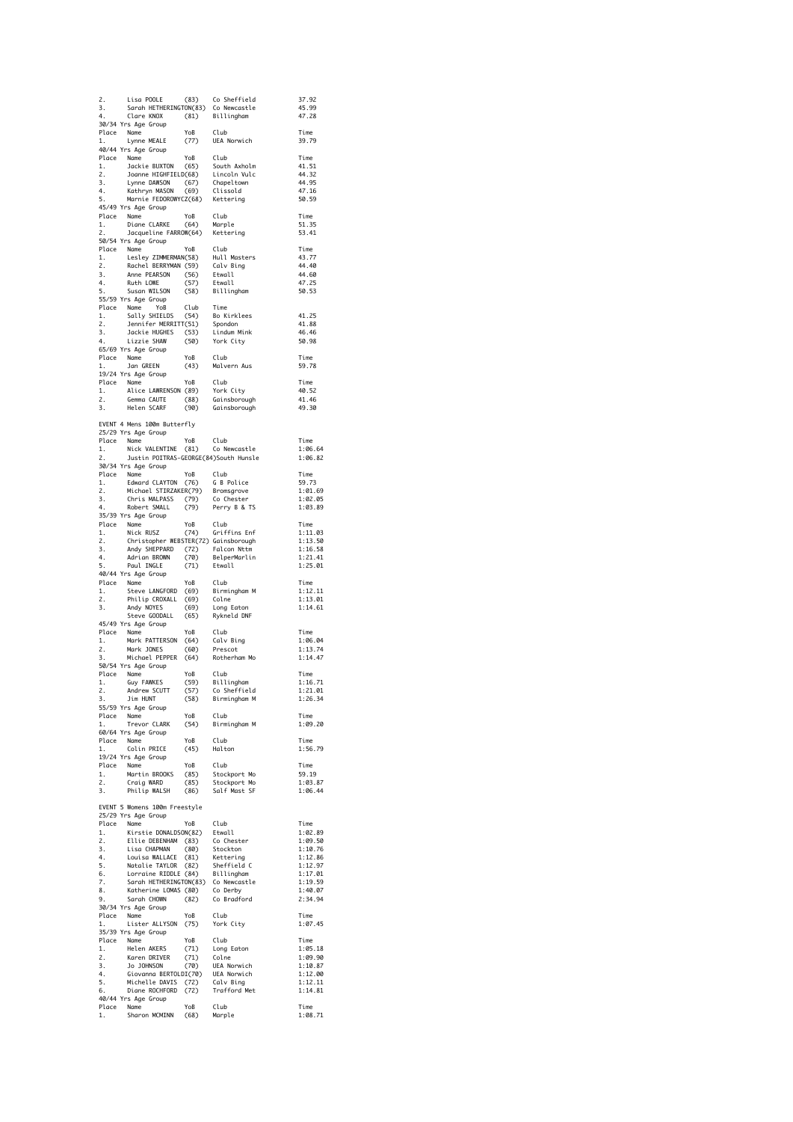| $2.$<br>3.<br>4. |                                                                                                                                                                                                                                                                   |                         |                                        |                    |
|------------------|-------------------------------------------------------------------------------------------------------------------------------------------------------------------------------------------------------------------------------------------------------------------|-------------------------|----------------------------------------|--------------------|
|                  | Lisa POOLE                                                                                                                                                                                                                                                        |                         | (83) Co Sheffield                      | 37.92              |
|                  | 3. Sarah HETHERINGTON(83) Co Newcastle<br>4. Clare KNOX (81) Billingham<br>30/34 Yrs Age Group                                                                                                                                                                    |                         |                                        | 45.99              |
|                  |                                                                                                                                                                                                                                                                   |                         |                                        | 47.28              |
|                  | Place Name                                                                                                                                                                                                                                                        |                         |                                        | Time               |
| 1.               | Lynne MEALE                                                                                                                                                                                                                                                       |                         | YoB Club<br>(77) UEA Norwich           | 39.79              |
|                  | 40/44 Yrs Age Group                                                                                                                                                                                                                                               |                         |                                        |                    |
|                  | 4044 Tris Age uroup<br>Place Name (1965) South Axholm<br>1. Jackie BUXTON (65) South Axholm<br>2. Joanne HIGHFIELD(68) Lincoln Vulc<br>4. Kathryn MASON (69) Clissold<br>5. Marnie FEDOROWYCZ(68) Kettering<br>5. Marnie FEDOROWYCZ(68) Ke                        |                         |                                        | Time<br>41.51      |
|                  |                                                                                                                                                                                                                                                                   |                         |                                        | 44.32              |
|                  |                                                                                                                                                                                                                                                                   |                         |                                        | 44.95              |
|                  |                                                                                                                                                                                                                                                                   |                         |                                        | 47.16              |
|                  |                                                                                                                                                                                                                                                                   |                         |                                        | 50.59              |
|                  | 45/49 Yrs Age Group<br>Place Name                                                                                                                                                                                                                                 |                         |                                        | Time               |
| 1.               | Comme<br>Diane CLARKE (64) Marple<br>Dacqueline FARROW(64) Kettering                                                                                                                                                                                              |                         |                                        | 51.35              |
| 2.               |                                                                                                                                                                                                                                                                   |                         |                                        | 53.41              |
|                  | 50/54 Yrs Age Group                                                                                                                                                                                                                                               |                         |                                        |                    |
|                  |                                                                                                                                                                                                                                                                   |                         |                                        | Time<br>43.77      |
|                  |                                                                                                                                                                                                                                                                   |                         |                                        | 44.40              |
|                  |                                                                                                                                                                                                                                                                   |                         |                                        | 44.60              |
|                  | S0/54 Trs Age with The Nobel Club<br>Place Name PEARSCANN (58) Hull Masters<br>1. Lesley ZIMMERMAN(58) Hull Masters<br>2. Rachel BERRYMAN (59) Edvall<br>3. Anne PEARSON (56) Etwall<br>5. Susan WILSON (58) Billingham<br>Frien Ves Ane G                        |                         |                                        | 47.25              |
|                  |                                                                                                                                                                                                                                                                   |                         |                                        | 50.53              |
|                  | Place Name YoB Club Time<br>1. Sally SHIELDS (54) Bo Kirklees<br>2. Jennifer MERRITT(51) Spondon<br>3. Jackie HUGHES (53) Lindum Mink<br>4. Lizzie SHAW (50) York City<br>65/69 Yrs Age Group                                                                     |                         | Time                                   |                    |
|                  |                                                                                                                                                                                                                                                                   |                         |                                        | 41.25              |
|                  |                                                                                                                                                                                                                                                                   |                         |                                        | 41.88              |
|                  |                                                                                                                                                                                                                                                                   |                         |                                        | 46.46<br>50.98     |
|                  | 65/69 Yrs Age Group                                                                                                                                                                                                                                               |                         |                                        |                    |
|                  | Place Name<br>1. Jan G                                                                                                                                                                                                                                            |                         | YoB Club<br>(43) Malvern Aus           | Time               |
|                  | Jan GREEN                                                                                                                                                                                                                                                         |                         |                                        | 59.78              |
|                  | 19/24 Yrs Age Group                                                                                                                                                                                                                                               |                         |                                        | Time               |
|                  |                                                                                                                                                                                                                                                                   |                         |                                        | 40.52              |
|                  | Place Name<br>2. Alice LAWRENSON (89) York City<br>2. Gemma CAUTE (88) Gainsborough<br>3. Helen SCARF (90) Gainsborough                                                                                                                                           |                         |                                        | 41.46              |
|                  |                                                                                                                                                                                                                                                                   |                         |                                        | 49.30              |
|                  |                                                                                                                                                                                                                                                                   |                         |                                        |                    |
|                  | EVENT 4 Mens 100m Butterfly<br>25/29 Yrs Age Group                                                                                                                                                                                                                |                         |                                        |                    |
|                  |                                                                                                                                                                                                                                                                   |                         |                                        | Time               |
|                  | Place Name<br>1. Nick-VALENTINE (81) Co-Newcastle<br>2. Justin-POTTRAS CEODECACTIC                                                                                                                                                                                |                         |                                        | 1:06.64            |
| 2.               | Justin POITRAS-GEORGE(84)South Hunsle                                                                                                                                                                                                                             |                         |                                        | 1:06.82            |
|                  | 30/34 Yrs Age Group                                                                                                                                                                                                                                               |                         |                                        | Time               |
|                  |                                                                                                                                                                                                                                                                   |                         |                                        | 59.73              |
|                  |                                                                                                                                                                                                                                                                   |                         |                                        | 1:01.69            |
|                  | Place Name<br>Place Name<br>1. Edward CLAYTON (76) G B Police<br>2. Michael STIRZAKER(79) Bromsgrove<br>3. Chris MALPASS (79) Co Chester<br>4. Robert SMALL (79) Perry B & TS<br>35/39 Yrs Age Group                                                              |                         |                                        | 1:02.05            |
|                  | 35/39 Yrs Age Group                                                                                                                                                                                                                                               |                         |                                        | 1:03.89            |
|                  |                                                                                                                                                                                                                                                                   |                         |                                        | Time               |
|                  |                                                                                                                                                                                                                                                                   |                         |                                        | 1:11.03            |
|                  |                                                                                                                                                                                                                                                                   |                         |                                        | 1:13.50            |
|                  |                                                                                                                                                                                                                                                                   |                         |                                        | 1:16.58<br>1:21.41 |
|                  | Size Name<br>2. Nick RUSZ (74) Griffins Enf<br>1. Nick RUSZ (74) Griffins Enf<br>2. Christopher WEBSTER(72) Gainsborough<br>3. Andrian BROWN (70) BelperMarlin<br>5. Paul INGLE (71) Etwall<br>40/44 Yrs Age Group                                                |                         |                                        | 1:25.01            |
|                  |                                                                                                                                                                                                                                                                   |                         |                                        |                    |
|                  |                                                                                                                                                                                                                                                                   |                         |                                        | Time               |
|                  |                                                                                                                                                                                                                                                                   |                         |                                        | 1:12.11            |
|                  |                                                                                                                                                                                                                                                                   |                         |                                        | 1:13.01<br>1:14.61 |
|                  |                                                                                                                                                                                                                                                                   |                         |                                        |                    |
|                  |                                                                                                                                                                                                                                                                   |                         |                                        |                    |
|                  | Place Name YoB Club<br>1. Steve LANGFORD (69) Birmingham M<br>2. Philip CROXALL (69) Colne<br>3. Andy NOYES (69) Long Eaton<br>5teve GODDALL (65) Rykneld DNF<br>45/49 Yrs Age Group                                                                              |                         |                                        |                    |
|                  |                                                                                                                                                                                                                                                                   | YoB                     |                                        | Time               |
|                  |                                                                                                                                                                                                                                                                   |                         |                                        | 1:06.04            |
|                  |                                                                                                                                                                                                                                                                   |                         |                                        | 1:13.74<br>1:14.47 |
|                  | Place Name<br>1. Mark PATTERSON (64) Calv Bing<br>2. Mark JONES (60) Prescot<br>3. Michael PEPPER (64) Rotherham Mo<br>50/54 Yrs Age Group                                                                                                                        |                         |                                        |                    |
|                  |                                                                                                                                                                                                                                                                   |                         | Club                                   | Time               |
|                  | Place Name<br>1. Guy FAWKES                                                                                                                                                                                                                                       | $Y \circ B$             | тов Club<br>(59) Billingham            | 1:16.71            |
| 2.<br>3.         | Andrew SCUTT<br>Jim HUNT                                                                                                                                                                                                                                          |                         |                                        | 1:21.01<br>1:26.34 |
|                  | 55/59 Yrs Age Group                                                                                                                                                                                                                                               |                         | (57) Co Sheffield<br>(58) Birmingham M |                    |
|                  | Place Name                                                                                                                                                                                                                                                        |                         | Club                                   | Time               |
| 1.               | Trevor CLARK                                                                                                                                                                                                                                                      | YoB<br>(54)             | Birmingham M                           | 1:09.20            |
|                  | 60/64 Yrs Age Group                                                                                                                                                                                                                                               |                         |                                        | Time               |
|                  | Place Name<br>1. Colin PRICE                                                                                                                                                                                                                                      | YoB Club<br>(45) Halton |                                        | 1:56.79            |
|                  | 19/24 Yrs Age Group                                                                                                                                                                                                                                               |                         |                                        |                    |
|                  |                                                                                                                                                                                                                                                                   |                         |                                        | Time               |
|                  |                                                                                                                                                                                                                                                                   |                         |                                        | 59.19<br>1:03.87   |
|                  |                                                                                                                                                                                                                                                                   |                         |                                        | 1:06.44            |
| $\frac{2}{3}$ .  | Place Name<br>1. Martin BROOKS (85) Stockport Mo<br>2. Craig WARD (85) Stockport Mo<br>3. Philip WALSH (86) Salf Mast SF                                                                                                                                          |                         |                                        |                    |
|                  | EVENT 5 Womens 100m Freestyle                                                                                                                                                                                                                                     |                         |                                        |                    |
|                  | 25/29 Yrs Age Group                                                                                                                                                                                                                                               |                         |                                        | Time               |
|                  |                                                                                                                                                                                                                                                                   |                         |                                        | 1:02.89            |
|                  |                                                                                                                                                                                                                                                                   |                         |                                        | 1:09.50            |
|                  |                                                                                                                                                                                                                                                                   |                         |                                        | 1:10.76            |
|                  |                                                                                                                                                                                                                                                                   |                         |                                        | 1:12.86            |
|                  |                                                                                                                                                                                                                                                                   |                         |                                        | 1:12.97<br>1:17.01 |
|                  |                                                                                                                                                                                                                                                                   |                         |                                        | 1:19.59            |
|                  |                                                                                                                                                                                                                                                                   |                         |                                        | 1:40.07            |
|                  |                                                                                                                                                                                                                                                                   |                         |                                        | 2:34.94            |
|                  | 25/29 Yrs Age uroup<br>1. Kirstie DONALDSON(82) Etwall<br>1. Kirstie DONALDSON(82) Co Chester<br>2. Ellie DEBENHAM (80) Stockton<br>4. Louisa WALLACE (81) Kettering<br>5. Natalie TAYLOR (82) Sheffield C<br>6. Lorraine RIDDLE (84) Bill<br>30/34 Yrs Age Group |                         |                                        | Time               |
| 1.               | Place Name                                                                                                                                                                                                                                                        |                         | York City                              | 1:07.45            |
|                  | wame YoB Club<br>Lister_ALLYSON (75) York<br>rs_Aae_Groum<br>35/39 Yrs Age Group                                                                                                                                                                                  |                         |                                        |                    |
|                  |                                                                                                                                                                                                                                                                   |                         |                                        | Time               |
|                  |                                                                                                                                                                                                                                                                   |                         |                                        | 1:05.18<br>1:09.90 |
|                  |                                                                                                                                                                                                                                                                   |                         |                                        | 1:10.87            |
|                  |                                                                                                                                                                                                                                                                   |                         |                                        | 1:12.00            |
|                  |                                                                                                                                                                                                                                                                   |                         |                                        | 1:12.11            |
|                  | Solomon Reader and The Club<br>1. Helen AKERS (71) Long Eaton<br>2. Karen DRIVER (71) Colne<br>3. Jo JOHNSON (70) UEA Norwich<br>4. Giovanna BERTOLDI(70) UEA Norwich<br>5. Michelle DAVIS (72) Calv Bing<br>6. Diane ROHHORD (72) Traffor                        |                         |                                        | 1:14.81            |
| 1.               | 40/44 Yrs Age Group<br>Place Name<br>Sharon MCMINN (68)                                                                                                                                                                                                           | YoB Club                | Marple                                 | Time<br>1:08.71    |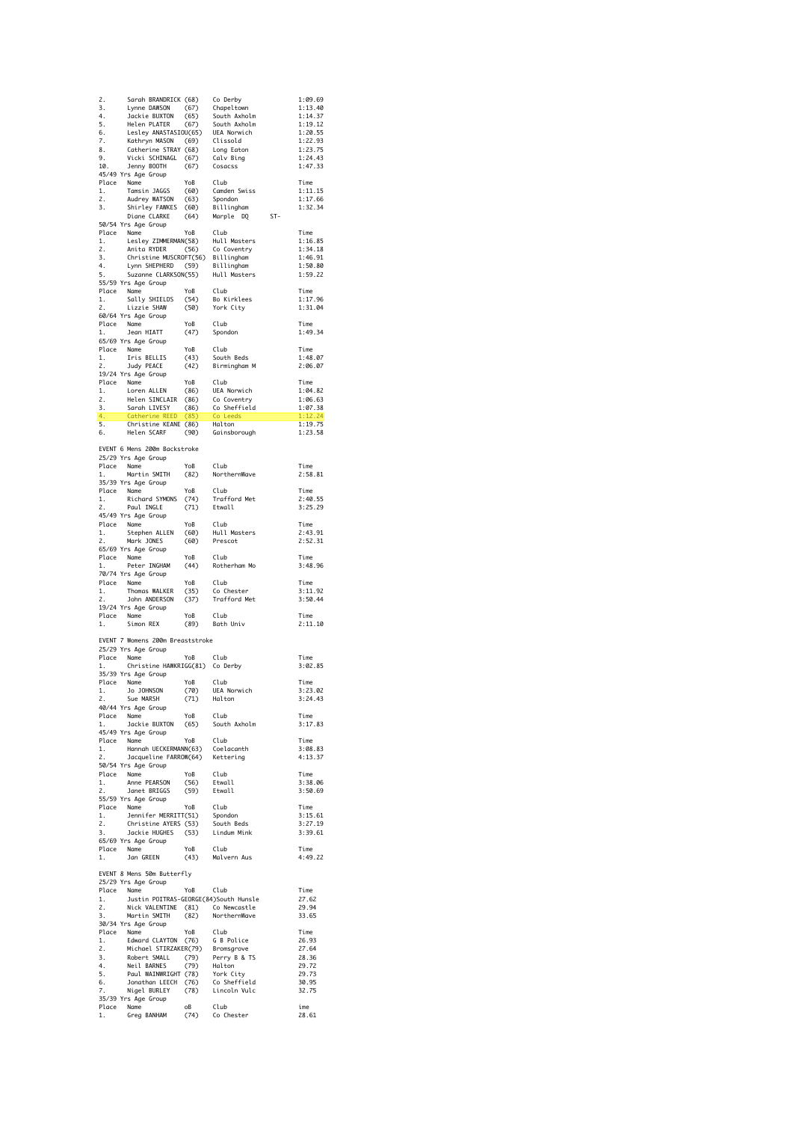|                     | 2. Sarah BRANDRICK (68) Colerby<br>3. Lynne DAWSON (67) Chapeltown<br>4. Jackie BUXTON (65) South Axholm<br>5. Helen PLATER (67) South Axholm<br>6. Lesley ANASTASIOU(65) UGLA Norwich<br>7. Kathryn MASON (69) Clissold<br>8. Catherine S                                        |                                        |                                                  |       | 1:09.69            |
|---------------------|-----------------------------------------------------------------------------------------------------------------------------------------------------------------------------------------------------------------------------------------------------------------------------------|----------------------------------------|--------------------------------------------------|-------|--------------------|
|                     |                                                                                                                                                                                                                                                                                   |                                        |                                                  |       | 1:13.40<br>1:14.37 |
|                     |                                                                                                                                                                                                                                                                                   |                                        |                                                  |       | 1:19.12            |
|                     |                                                                                                                                                                                                                                                                                   |                                        |                                                  |       | 1:20.55<br>1:22.93 |
|                     |                                                                                                                                                                                                                                                                                   |                                        |                                                  |       | 1:23.75            |
|                     |                                                                                                                                                                                                                                                                                   |                                        |                                                  |       | 1:24.43<br>1:47.33 |
|                     | 45/49 Yrs Age Group                                                                                                                                                                                                                                                               |                                        |                                                  |       |                    |
| 1.                  | Place Name<br>1. Tamsi<br>Name YoB Club<br>Tamsin JAGGS (60) Camden Swiss<br>Audrey WATSON (63) Spondon<br>Shirley FAWKES (60) Billingham<br>Diane CLARKE (64) Marple DQ<br>Crac Croun                                                                                            |                                        |                                                  |       | Time<br>1:11.15    |
| 2.                  |                                                                                                                                                                                                                                                                                   |                                        |                                                  |       | 1:17.66            |
| $\overline{3}$ .    |                                                                                                                                                                                                                                                                                   |                                        |                                                  | $ST-$ | 1:32.34            |
|                     | 50/54 Yrs Age Group                                                                                                                                                                                                                                                               |                                        |                                                  |       |                    |
|                     | Place Name<br>Place Name<br>1. Lesley ZIMMERMAN(58) Hull Mosters<br>2. Anita RYDER<br>3. Christine MUSCROFT(56) Billingham<br>4. Lynn SHEPHERD (59) Billingham<br>5. Suzanne CLARKSON(55) Hull Mosters<br>5. Suzanne CLARKSON(55) Hull Moste                                      |                                        |                                                  |       | Time               |
|                     |                                                                                                                                                                                                                                                                                   |                                        |                                                  |       | 1:16.85<br>1:34.18 |
|                     |                                                                                                                                                                                                                                                                                   |                                        |                                                  |       | 1:46.91            |
|                     |                                                                                                                                                                                                                                                                                   |                                        |                                                  |       | 1:50.80<br>1:59.22 |
|                     | 55/59 Yrs Age Group                                                                                                                                                                                                                                                               |                                        |                                                  |       |                    |
|                     | Place Name                                                                                                                                                                                                                                                                        | YoB                                    | Club                                             |       | Time               |
| 1.<br>2.            | Sally SHIELDS (54)   Bo Kirklees<br>Lizzie SHAW    (50)   York City                                                                                                                                                                                                               |                                        |                                                  |       | 1:17.96<br>1:31.04 |
|                     | 60/64 Yrs Age Group                                                                                                                                                                                                                                                               |                                        |                                                  |       |                    |
| 1.                  | Place Name<br>Jean HIATT                                                                                                                                                                                                                                                          | YoB<br>(47)                            | Club<br>Spondon                                  |       | Time<br>1:49.34    |
|                     | 65/69 Yrs Age Group                                                                                                                                                                                                                                                               |                                        |                                                  |       |                    |
|                     | Place Name<br>1. Iris BELLIS<br>2. Judy PEACE                                                                                                                                                                                                                                     |                                        | YoB Club<br>(43) South Beds<br>(42) Birmingham M |       | Time               |
|                     | Judy PEACE                                                                                                                                                                                                                                                                        |                                        |                                                  |       | 1:48.07<br>2:06.07 |
|                     | 19/24 Yrs Age Group                                                                                                                                                                                                                                                               |                                        |                                                  |       |                    |
|                     |                                                                                                                                                                                                                                                                                   |                                        |                                                  |       | Time<br>1:04.82    |
|                     |                                                                                                                                                                                                                                                                                   |                                        |                                                  |       | 1:06.63            |
|                     |                                                                                                                                                                                                                                                                                   |                                        |                                                  |       | 1:07.38            |
|                     | 1972–4 Tris Age uroup<br>1. Loren ALLEN (86) UEA Norwich<br>1. Loren ALLEN (86) Co Coventry<br>2. Helen SINCLAIR (86) Co Coventry<br>3. Sarah LIVESY (86) Co Leeds<br>4. Cotherine KEED (85) O Leeds<br>5. Christine KEANE (86) Halton<br>6.                                      |                                        |                                                  |       | 1:12.24<br>1:19.75 |
|                     |                                                                                                                                                                                                                                                                                   |                                        |                                                  |       | 1:23.58            |
|                     |                                                                                                                                                                                                                                                                                   |                                        |                                                  |       |                    |
|                     | EVENT 6 Mens 200m Backstroke<br>25/29 Yrs Age Group                                                                                                                                                                                                                               |                                        |                                                  |       |                    |
|                     | Name YoB Club<br>Martin SMITH (82) North<br>Place Name                                                                                                                                                                                                                            |                                        |                                                  |       | Time               |
| 1.                  |                                                                                                                                                                                                                                                                                   |                                        | NorthernWave                                     |       | 2:58.81            |
|                     | 35/39 Yrs Age Group                                                                                                                                                                                                                                                               | YoB Club<br>(74) Traft                 |                                                  |       | Time               |
|                     | Place Name YoB<br>1. Richard SYMONS (74)<br>2. Paul INGLE (71)                                                                                                                                                                                                                    |                                        | Trafford Met                                     |       | 2:40.55            |
|                     |                                                                                                                                                                                                                                                                                   |                                        | Etwall                                           |       | 3:25.29            |
|                     | 45/49 Yrs Age Group                                                                                                                                                                                                                                                               | YoB                                    | Club                                             |       | Time               |
|                     | Place Name<br>1. Stephen ALLEN<br>2. Mark JONES                                                                                                                                                                                                                                   |                                        | (60) Hull Masters<br>(60) Prescot                |       | 2:43.91            |
|                     |                                                                                                                                                                                                                                                                                   |                                        |                                                  |       | 2:52.31            |
|                     |                                                                                                                                                                                                                                                                                   |                                        |                                                  |       |                    |
|                     | 65/69 Yrs Age Group                                                                                                                                                                                                                                                               | YoB                                    | Club                                             |       | Time               |
| 1.                  | Place Name<br>Peter INGHAM                                                                                                                                                                                                                                                        | тов<br>(44)                            | Rotherham Mo                                     |       | 3:48.96            |
|                     | 70/74 Yrs Age Group                                                                                                                                                                                                                                                               |                                        |                                                  |       |                    |
|                     | Place Name                                                                                                                                                                                                                                                                        |                                        |                                                  |       | Time<br>3:11.92    |
| $\frac{1}{2}$<br>2. | Thomas WALKER<br>John ANDERSON                                                                                                                                                                                                                                                    |                                        | YoB Club<br>(35) Co Chester<br>(37) Trafford Met |       | 3:50.44            |
|                     | 19/24 Yrs Age Group                                                                                                                                                                                                                                                               |                                        |                                                  |       |                    |
| 1.                  | Place Name<br>Simon REX                                                                                                                                                                                                                                                           |                                        | YoB Club<br>(89) Bath Univ                       |       | Time<br>2:11.10    |
|                     |                                                                                                                                                                                                                                                                                   |                                        |                                                  |       |                    |
|                     | EVENT 7 Womens 200m Breaststroke                                                                                                                                                                                                                                                  |                                        |                                                  |       |                    |
|                     | 25/29 Yrs Age Group                                                                                                                                                                                                                                                               | YoB                                    | Club                                             |       | Time               |
| 1.                  | Place Name<br>Christine HAWKRIGG(81) Co Derby                                                                                                                                                                                                                                     |                                        |                                                  |       | 3:02.85            |
|                     | 35/39 Yrs Age Group<br>Place Name                                                                                                                                                                                                                                                 | YoB Club                               |                                                  |       | Time               |
| 1.                  |                                                                                                                                                                                                                                                                                   | (70)                                   | UEA Norwich                                      |       | 3:23.02            |
| 2.                  | Jo JOHNSON<br>Sue MARSH                                                                                                                                                                                                                                                           | (71)                                   | Halton                                           |       | 3:24.43            |
|                     | 40/44 Yrs Age Group                                                                                                                                                                                                                                                               | YoB                                    | Club                                             |       | Time               |
| 1.                  | Place Name<br>Jackie BUXTON                                                                                                                                                                                                                                                       | (65)                                   | South Axholm                                     |       | 3:17.83            |
|                     | 45/49 Yrs Age Group                                                                                                                                                                                                                                                               |                                        |                                                  |       | Time               |
|                     |                                                                                                                                                                                                                                                                                   |                                        | Coelacanth                                       |       | 3:08.83            |
|                     | Place Name YoB Club<br>1. Hannah UECKERMANN(63) Coelacanth<br>2. Jacqueline FARROW(64) Kettering                                                                                                                                                                                  |                                        |                                                  |       | 4:13.37            |
|                     | 50/54 Yrs Age Group<br>Place Name                                                                                                                                                                                                                                                 |                                        |                                                  |       | Time               |
|                     |                                                                                                                                                                                                                                                                                   |                                        |                                                  |       | 3:38.06            |
| $\frac{1}{2}$<br>2. | Anne PEARSON<br>Janet BRIGGS<br>55/59 Yrs Age Group                                                                                                                                                                                                                               | YoB Club<br>(56) Etwall<br>(59) Etwall |                                                  |       | 3:50.69            |
|                     | Place Name                                                                                                                                                                                                                                                                        |                                        |                                                  |       | Time               |
| 1.                  |                                                                                                                                                                                                                                                                                   |                                        |                                                  |       | 3:15.61            |
| 2.<br>3.            |                                                                                                                                                                                                                                                                                   |                                        |                                                  |       | 3:27.19<br>3:39.61 |
|                     | Name YoB Club<br>Jennifer MERRITT(51) Spondon<br>Christine AYERS (53) South Beds<br>Jackie HUGHES (53) Lindum Mink<br>65/69 Yrs Age Group                                                                                                                                         |                                        |                                                  |       |                    |
| 1.                  | Place Name<br>Jan GREEN                                                                                                                                                                                                                                                           |                                        |                                                  |       | Time<br>4:49.22    |
|                     |                                                                                                                                                                                                                                                                                   |                                        | YoB Club<br>(43) Malvern Aus                     |       |                    |
|                     | EVENT 8 Mens 50m Butterfly                                                                                                                                                                                                                                                        |                                        |                                                  |       |                    |
|                     | 25/29 Yrs Age Group                                                                                                                                                                                                                                                               | YoB                                    | Club                                             |       | Time               |
| 1.                  | Place Name<br>Justin POITRAS-GEORGE(84)South Hunsle                                                                                                                                                                                                                               |                                        |                                                  |       | 27.62              |
|                     |                                                                                                                                                                                                                                                                                   |                                        |                                                  |       | 29.94              |
|                     | 2. Nick VALENTINE (81) Co Newcastle<br>3. Martin SMITH (82) NorthernWave<br>30/34 Yrs Age Group                                                                                                                                                                                   |                                        |                                                  |       | 33.65              |
|                     |                                                                                                                                                                                                                                                                                   | YoB                                    | Club                                             |       | Time               |
|                     |                                                                                                                                                                                                                                                                                   |                                        |                                                  |       | 26.93<br>27.64     |
|                     | Place Name<br>1. Edwar<br>2. Micho<br>3. Rober                                                                                                                                                                                                                                    |                                        |                                                  |       | 28.36              |
| $2.$<br>3.<br>4.    |                                                                                                                                                                                                                                                                                   |                                        |                                                  |       | 29.72              |
| 5.<br>6.            |                                                                                                                                                                                                                                                                                   |                                        |                                                  |       | 29.73<br>30.95     |
| 7.                  |                                                                                                                                                                                                                                                                                   |                                        |                                                  |       | 32.75              |
|                     | ce Name<br>Edward CLAYTON (76) G B Police<br>Edward CLAYTON (76) Bromsgrove<br>Robert SMALL (79) Perry B & TS<br>Neil BARNES (79) Halton<br>Paul WAINWRIGHT (78) York City<br>Jonathan LEECH (76) G Sheffield<br>Nigel BURLEY (78) Lincoln V<br>35/39 Yrs Age Group<br>Place Name | oB<br>ия<br>(74)                       | Club                                             |       | ime                |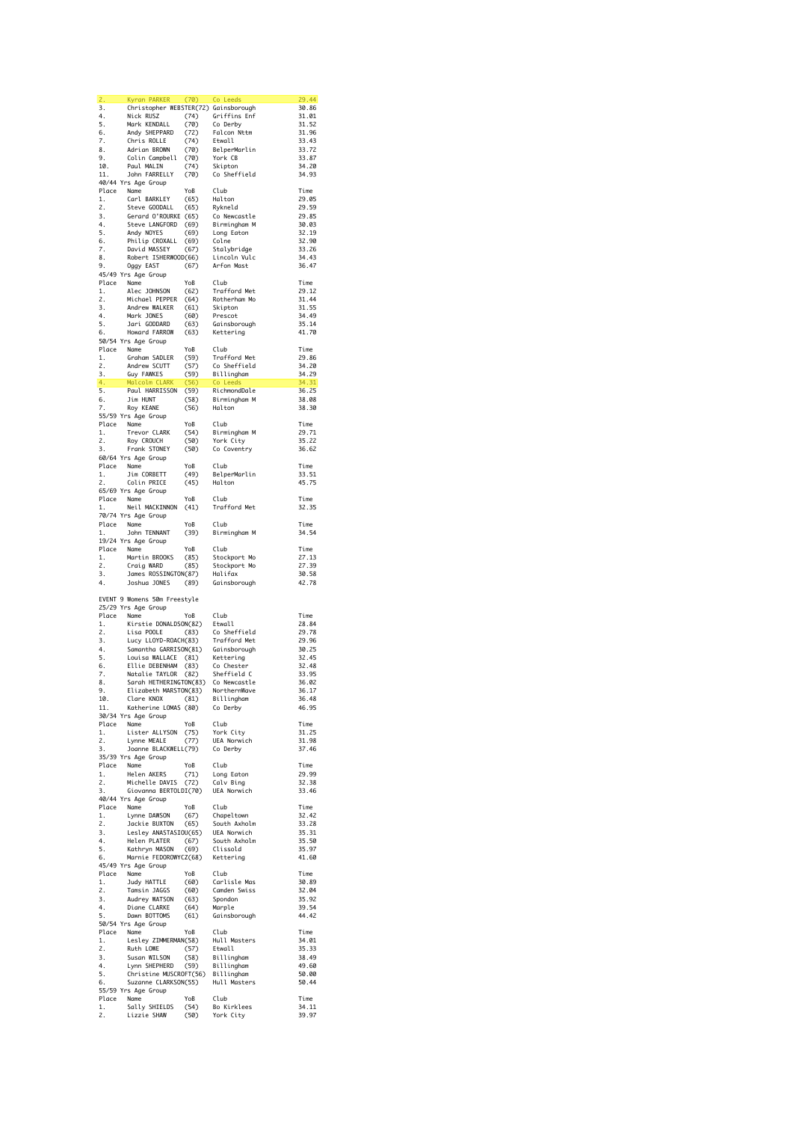| 2.                               | Kyran PARKER                                                                                                                                                                                                                                                   | (70)         | Co Leeds                                                                                                                                            | 29.44          |
|----------------------------------|----------------------------------------------------------------------------------------------------------------------------------------------------------------------------------------------------------------------------------------------------------------|--------------|-----------------------------------------------------------------------------------------------------------------------------------------------------|----------------|
| 3.                               | Christopher WEBSTER(72) Gainsborough                                                                                                                                                                                                                           |              |                                                                                                                                                     | 30.86          |
| 4.                               | Nick RUSZ                                                                                                                                                                                                                                                      |              |                                                                                                                                                     | 31.01          |
| 5.                               | Nick RUSZ (74) Griffins Enf<br>Mark KENDALL (70) Co Derby<br>Andy SHEPPARD (72) Falcon Nttm<br>Chris ROLLE (74) Etwall<br>Mark KENDALL                                                                                                                         |              |                                                                                                                                                     | 31.52<br>31.96 |
| 6.<br>7.                         | Chris ROLLE                                                                                                                                                                                                                                                    | (74)         | Etwall                                                                                                                                              | 33.43          |
| 8.                               | Adrian BROWN                                                                                                                                                                                                                                                   | (70)         | BelperMarlin                                                                                                                                        | 33.72          |
| 9.                               | Colin Campbell (70)                                                                                                                                                                                                                                            |              | York CB                                                                                                                                             | 33.87          |
| $\frac{10}{11}$ .                | Paul MALIN                                                                                                                                                                                                                                                     | (74)         | Skipton                                                                                                                                             | 34.20          |
| 11.                              | John FARRELLY                                                                                                                                                                                                                                                  | (70)         | Co Sheffield                                                                                                                                        | 34.93          |
|                                  | 40/44 Yrs Age Group                                                                                                                                                                                                                                            |              |                                                                                                                                                     |                |
| 1.                               | Place Name<br>Carl BARKLEY                                                                                                                                                                                                                                     | YoB<br>(65)  | Club<br>Halton                                                                                                                                      | Time<br>29.05  |
| 2.                               | Steve GOODALL                                                                                                                                                                                                                                                  |              |                                                                                                                                                     | 29.59          |
| 3.                               | Gerard O'ROURKE (65)                                                                                                                                                                                                                                           |              |                                                                                                                                                     | 29.85          |
| 4.                               | Steve LANGFORD (69)<br>Andy NOYES (69)<br>Philip CROXALL (69)<br>David MASSEY (67)                                                                                                                                                                             |              |                                                                                                                                                     | 30.03          |
| 5.                               |                                                                                                                                                                                                                                                                |              |                                                                                                                                                     | 32.19          |
| 6.                               |                                                                                                                                                                                                                                                                |              |                                                                                                                                                     | 32.90          |
| 7.<br>8.                         | Robert ISHERWOOD(66)                                                                                                                                                                                                                                           |              | (65) Rykneld<br>(65) Co Newcastle<br>(69) Birmingham M<br>(69) Long Eaton<br>(69) Colne<br>(67) Stalybridge<br>(66) Lincoln Vulc<br>(67) Arfon Mast | 33.26<br>34.43 |
| 9.                               | Oggy EAST                                                                                                                                                                                                                                                      |              |                                                                                                                                                     | 36.47          |
|                                  | 45/49 Yrs Age Group                                                                                                                                                                                                                                            |              |                                                                                                                                                     |                |
|                                  | Place Name                                                                                                                                                                                                                                                     | YoB          | Club                                                                                                                                                | Time           |
| 1.                               | Alec JOHNSON                                                                                                                                                                                                                                                   | (62)         | Trafford Met                                                                                                                                        | 29.12          |
| 2.                               | Michael PEPPER                                                                                                                                                                                                                                                 | (64)         | Rotherham Mo                                                                                                                                        | 31.44          |
| 3.<br>4.                         | Andrew WALKER<br>Mark JONES                                                                                                                                                                                                                                    | (61)<br>(60) | Skipton<br>Prescot                                                                                                                                  | 31.55<br>34.49 |
| 5.                               | Jari GODDARD                                                                                                                                                                                                                                                   | (63)         | Gainsborough                                                                                                                                        | 35.14          |
| 6.                               | Howard FARROW                                                                                                                                                                                                                                                  | (63)         | Kettering                                                                                                                                           | 41.70          |
|                                  | 50/54 Yrs Age Group                                                                                                                                                                                                                                            |              |                                                                                                                                                     |                |
|                                  |                                                                                                                                                                                                                                                                | YoB          | Club                                                                                                                                                | Time           |
|                                  |                                                                                                                                                                                                                                                                |              | Trafford Met                                                                                                                                        | 29.86          |
|                                  |                                                                                                                                                                                                                                                                |              | Co Sheffield                                                                                                                                        | 34.20          |
|                                  | Place Mane<br>1. Graham SADLER<br>2. Andrew SCUTT<br>3. Guy FAWKES<br>5. Malcolm CLARK<br>5.<br>Name<br>Graham SADLER (59) Trafford M<br>Andrew SCUTT (57) Co Sheffie<br>Guy FAWKES (59) Billingham<br>Malcolm CLARK (56) Coleeds<br>Malcolm CLARK (56) Cleeds |              |                                                                                                                                                     | 34.29<br>34.31 |
| 5.                               | Paul HARRISSON (59) RichmondDale                                                                                                                                                                                                                               |              |                                                                                                                                                     | 36.25          |
| 6.                               | Jim HUNT                                                                                                                                                                                                                                                       | (58)         | Birmingham M                                                                                                                                        | 38.08          |
| 7.                               | Roy KEANE                                                                                                                                                                                                                                                      | (56)         | Halton                                                                                                                                              | 38.30          |
|                                  | 55/59 Yrs Age Group                                                                                                                                                                                                                                            |              |                                                                                                                                                     |                |
|                                  | Place Name                                                                                                                                                                                                                                                     | YoB          | Club<br>Birmingham M                                                                                                                                | Time           |
| 1.                               | Trevor CLARK                                                                                                                                                                                                                                                   | (54)         |                                                                                                                                                     | 29.71          |
| 2.<br>3.                         | Roy CROUCH<br>Frank STONEY                                                                                                                                                                                                                                     | (50)<br>(50) | York City<br>Co Coventry                                                                                                                            | 35.22<br>36.62 |
|                                  | 60/64 Yrs Age Group                                                                                                                                                                                                                                            |              |                                                                                                                                                     |                |
|                                  | Place Name                                                                                                                                                                                                                                                     | YoB          | Club                                                                                                                                                | Time           |
| 1.                               | Jim CORBETT                                                                                                                                                                                                                                                    | (49)         | BelperMarlin                                                                                                                                        | 33.51          |
| 2.                               | Colin PRICE                                                                                                                                                                                                                                                    | (45)         | Halton                                                                                                                                              | 45.75          |
|                                  | 65/69 Yrs Age Group                                                                                                                                                                                                                                            |              |                                                                                                                                                     |                |
| 1.                               | Place Name<br>Neil MACKINNON                                                                                                                                                                                                                                   | YoB          | Club                                                                                                                                                | Time           |
|                                  | 70/74 Yrs Age Group                                                                                                                                                                                                                                            | (41)         | Trafford Met                                                                                                                                        | 32.35          |
| Place                            | Name                                                                                                                                                                                                                                                           | YoB          | Club                                                                                                                                                | Time           |
| 1.                               | John TENNANT                                                                                                                                                                                                                                                   | (39)         | Birmingham M                                                                                                                                        | 34.54          |
|                                  | 19/24 Yrs Age Group                                                                                                                                                                                                                                            |              |                                                                                                                                                     |                |
| Place Name                       |                                                                                                                                                                                                                                                                | YoB          | Club                                                                                                                                                | Time           |
|                                  |                                                                                                                                                                                                                                                                |              |                                                                                                                                                     |                |
| 1.                               | Martin BROOKS                                                                                                                                                                                                                                                  | (85)         | Stockport Mo                                                                                                                                        | 27.13          |
|                                  | Craig WARD                                                                                                                                                                                                                                                     | (85)         | Stockport Mo                                                                                                                                        | 27.39          |
|                                  | James ROSSINGTON(87)                                                                                                                                                                                                                                           |              | Halifax                                                                                                                                             | 30.58          |
| $2.$<br>3.<br>4.<br>4.           | Joshua JONES                                                                                                                                                                                                                                                   | (89)         | Gainsborough                                                                                                                                        | 42.78          |
|                                  | EVENT 9 Womens 50m Freestyle                                                                                                                                                                                                                                   |              |                                                                                                                                                     |                |
|                                  | 25/29 Yrs Age Group                                                                                                                                                                                                                                            |              |                                                                                                                                                     |                |
|                                  | Place Name                                                                                                                                                                                                                                                     | YoB          | Club                                                                                                                                                | Time           |
| 1.                               | Kirstie DONALDSON(82) Etwall                                                                                                                                                                                                                                   |              |                                                                                                                                                     | 28.84          |
| 2.                               |                                                                                                                                                                                                                                                                |              |                                                                                                                                                     | 29.78          |
|                                  |                                                                                                                                                                                                                                                                |              |                                                                                                                                                     | 29.96<br>30.25 |
|                                  |                                                                                                                                                                                                                                                                |              |                                                                                                                                                     | 32.45          |
| 2.<br>3.<br>4.<br>5.<br>6.<br>6. | kisa POOLE (83) Cosheffield<br>Lucy LLOYD-ROACH(83) Trafford Met<br>Samantha GARRISON(81) Gainsborough<br>Louisa WALLACE (81) Kettering<br>Disa WALLACE (81) Kettering<br>Ellie DEBENHAM (83)                                                                  |              |                                                                                                                                                     | 32.48          |
| 7.                               | Natalie TAYLOR (82)                                                                                                                                                                                                                                            |              | Co Chester<br>Sheffield C                                                                                                                           | 33.95          |
| 8.                               | Sarah HETHERINGTON(83) Co Newcastle                                                                                                                                                                                                                            |              |                                                                                                                                                     | 36.02          |
| 9.                               | Elizabeth MARSTON(83) NorthernWave                                                                                                                                                                                                                             |              |                                                                                                                                                     | 36.17          |
| 10.<br>11.                       | Clare KNOX                                                                                                                                                                                                                                                     | (81)         | Billingham                                                                                                                                          | 36.48<br>46.95 |
|                                  | Katherine LOMAS (80)<br>30/34 Yrs Age Group                                                                                                                                                                                                                    |              | Co Derby                                                                                                                                            |                |
|                                  | Place Name                                                                                                                                                                                                                                                     | YoB          | Club                                                                                                                                                | Time           |
| 1.                               | Lister ALLYSON                                                                                                                                                                                                                                                 | (75)         | York City                                                                                                                                           | 31.25          |
| 2.                               | Lynne MEALE                                                                                                                                                                                                                                                    | (77)         | UEA Norwich                                                                                                                                         | 31.98<br>37.46 |
| 3.                               | Joanne BLACKWELL(79)<br>35/39 Yrs Age Group                                                                                                                                                                                                                    |              | Co Derby                                                                                                                                            |                |
| Place                            | Name                                                                                                                                                                                                                                                           | YoB          | Club                                                                                                                                                | Time           |
| 1.                               | Helen AKERS                                                                                                                                                                                                                                                    |              |                                                                                                                                                     | 29.99          |
| 2.                               | Michelle DAVIS                                                                                                                                                                                                                                                 |              | (71) Long Eaton<br>(72) Calv Bing                                                                                                                   | 32.38          |
| 3.                               | Giovanna BERTOLDI(70)                                                                                                                                                                                                                                          |              | UEA Norwich                                                                                                                                         | 33.46          |
|                                  | 40/44 Yrs Age Group                                                                                                                                                                                                                                            | YoB          | Club                                                                                                                                                | Time           |
| 1.                               | Place Name                                                                                                                                                                                                                                                     |              |                                                                                                                                                     | 32.42          |
| 2.                               |                                                                                                                                                                                                                                                                |              |                                                                                                                                                     | 33.28          |
| 3.                               |                                                                                                                                                                                                                                                                |              |                                                                                                                                                     | 35.31          |
| 4.                               |                                                                                                                                                                                                                                                                |              |                                                                                                                                                     | 35.50          |
| 5.<br>6.                         |                                                                                                                                                                                                                                                                |              |                                                                                                                                                     | 35.97<br>41.60 |
|                                  | 45/49 Yrs Age Group                                                                                                                                                                                                                                            |              |                                                                                                                                                     |                |
|                                  | Lynne DAWSON (67) Chapeltown<br>Jackie BUXTON (65) South Axholm<br>Lesley ANASTASIOU(65) UEA Norwich<br>Helen PLATER (67) South Axholm<br>Karthyn MASON (69) Clissold<br>Marnie FEDOROWYCZ(68) Kettering<br>Ts Age Group<br>Place Name                         | YoB          | Club                                                                                                                                                | Time           |
| 1.                               | Judy HATTLE                                                                                                                                                                                                                                                    |              | Carlisle Mas                                                                                                                                        | 30.89          |
| 2.                               | Tamsin JAGGS                                                                                                                                                                                                                                                   | (60)<br>(60) |                                                                                                                                                     | 32.04          |
| 3.                               | Audrey WATSON (63)                                                                                                                                                                                                                                             |              | Camden Swiss<br>Spondon                                                                                                                             | 35.92          |
| 4.                               | Diane CLARKE                                                                                                                                                                                                                                                   | (64)         | Marple                                                                                                                                              | 39.54          |
| 5.                               | Dawn BOTTOMS                                                                                                                                                                                                                                                   | (61)         | Gainsborough                                                                                                                                        | 44.42          |
|                                  | 50/54 Yrs Age Group                                                                                                                                                                                                                                            | YoB          | Club                                                                                                                                                | Time           |
| 1.                               | Place Name<br>Lesley ZIMMERMAN(58)                                                                                                                                                                                                                             |              | Hull Masters                                                                                                                                        | 34.01          |
| 2.                               | Ruth LOWE (57)                                                                                                                                                                                                                                                 |              | Etwall                                                                                                                                              | 35.33          |
| 3.                               |                                                                                                                                                                                                                                                                |              |                                                                                                                                                     | 38.49          |
| 4.                               | Susan WILSON (58) Billingham<br>Lynn SHEPHERD (59) Billingham                                                                                                                                                                                                  |              |                                                                                                                                                     | 49.60          |
| 5.                               | Christine MUSCROFT(56) Billingham                                                                                                                                                                                                                              |              |                                                                                                                                                     | 50.00          |
| 6.                               | Suzanne CLARKSON(55)<br>55/59 Yrs Age Group                                                                                                                                                                                                                    |              | Hull Masters                                                                                                                                        | 50.44          |
|                                  | Place Name                                                                                                                                                                                                                                                     | YoB          | Club                                                                                                                                                | Time           |
| 1.<br>2.                         | Sally SHIELDS<br>Lizzie SHAW                                                                                                                                                                                                                                   | (54)<br>(50) | Bo Kirklees<br>York City                                                                                                                            | 34.11<br>39.97 |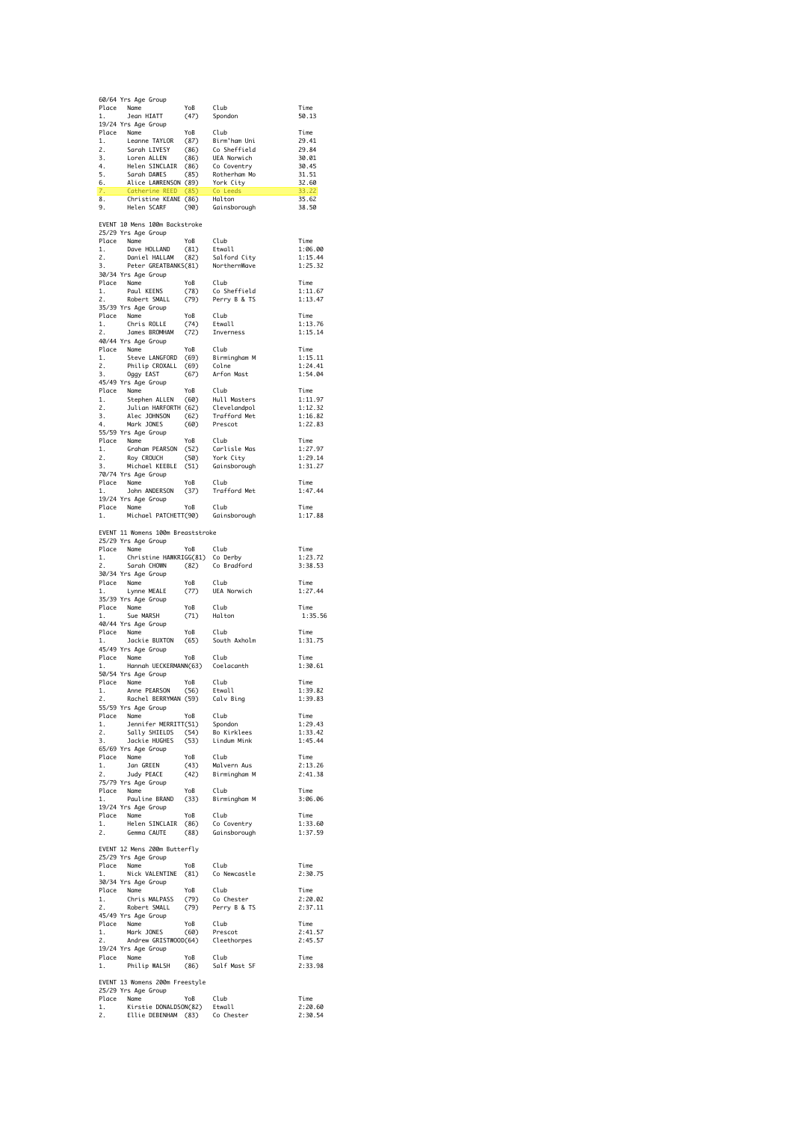|               | 60/64 Yrs Age Group                                                                                                                                                                                                                          | YoB                    |                                                    |                    |
|---------------|----------------------------------------------------------------------------------------------------------------------------------------------------------------------------------------------------------------------------------------------|------------------------|----------------------------------------------------|--------------------|
|               | Place Name<br>1. Jean HIATT                                                                                                                                                                                                                  | roB<br>(47)            | Club<br>Spondon                                    | Time<br>50.13      |
|               | 19/24 Yrs Age Group                                                                                                                                                                                                                          |                        |                                                    | Time               |
|               | 19/24 Yrs Age uroup<br>Place Name<br>1. Leanne TAYLOR (87) Birm ham Uni<br>1. Leanne TAYLOR (86) Competend<br>3. Loren ALLEN (86) UEA Norwich<br>4. Helen SINCLAIR (86) Competry<br>5. Sarah DANES (85) Rotherham Mo<br>6. Alice LAMRENSON ( |                        |                                                    | 29.41              |
|               |                                                                                                                                                                                                                                              |                        |                                                    | 29.84<br>30.01     |
|               |                                                                                                                                                                                                                                              |                        |                                                    | 30.45              |
|               |                                                                                                                                                                                                                                              |                        |                                                    | 31.51<br>32.60     |
|               |                                                                                                                                                                                                                                              |                        |                                                    | 33.22              |
|               |                                                                                                                                                                                                                                              |                        |                                                    | 35.62              |
|               |                                                                                                                                                                                                                                              |                        |                                                    | 38.50              |
|               | EVENT 10 Mens 100m Backstroke<br>25/29 Yrs Age Group                                                                                                                                                                                         |                        |                                                    |                    |
|               |                                                                                                                                                                                                                                              |                        |                                                    | Time               |
|               |                                                                                                                                                                                                                                              |                        |                                                    | 1:06.00            |
|               | Place Name<br>1. Dave HOLLAND (81) Etwall<br>2. Daniel HALLAM (82) Salford City<br>3. Peter GREATBANKS(81) NorthernWave                                                                                                                      |                        |                                                    | 1:15.44<br>1:25.32 |
|               | 30/34 Yrs Age Group                                                                                                                                                                                                                          |                        |                                                    |                    |
|               |                                                                                                                                                                                                                                              |                        | YoB Club<br>(78) Co Sheffield<br>(79) Perry B & TS | Time<br>1:11.67    |
|               | Place Name<br>1. Paul KEENS<br>2. Robert SMALL                                                                                                                                                                                               |                        |                                                    | 1:13.47            |
|               | 35/39 Yrs Age Group                                                                                                                                                                                                                          | YoB                    | Club                                               | Time               |
|               | Place Name<br>1. Chris ROLLE<br>2. James BROMHA                                                                                                                                                                                              | $(74)$<br>$(72)$       | Etwall                                             | 1:13.76            |
|               | James BROMHAM<br>40/44 Yrs Age Group                                                                                                                                                                                                         |                        | Inverness                                          | 1:15.14            |
|               |                                                                                                                                                                                                                                              |                        |                                                    | Time               |
|               | Place Name<br>1. Steve LANGFORD (69) Birmingham M<br>2. Philip CROXALL (69) Golne<br>3. Oggy EAST (67) Arfon Mast<br>3. Oggy EAST (67) Arfon Mast                                                                                            |                        |                                                    | 1:15.11<br>1:24.41 |
|               |                                                                                                                                                                                                                                              |                        |                                                    | 1:54.04            |
|               | 45/49 Yrs Age Group                                                                                                                                                                                                                          |                        |                                                    | Time               |
|               |                                                                                                                                                                                                                                              |                        |                                                    | 1:11.97            |
|               |                                                                                                                                                                                                                                              |                        |                                                    | 1:12.32            |
|               | Place Name<br>1. Stephen ALLEN (60) Hull Masters<br>1. Stephen ALLEN (60) Hull Masters<br>2. Julian HARFORTH (62) Clevelandpol<br>3. Alec JOHNSON (62) Trafford Met<br>4. Mark JONES (60) Prescot<br>1.                                      |                        |                                                    | 1:16.82<br>1:22.83 |
|               | 55/59 Yrs Age Group                                                                                                                                                                                                                          |                        |                                                    |                    |
|               | Place Name YoB Club<br>1. Graham PEARSON (52) Carlisle Mas<br>2. Roy CROUCH (50) York City<br>3. Michael KEEBLE (51) Gainsborough                                                                                                            |                        |                                                    | Time<br>1:27.97    |
|               |                                                                                                                                                                                                                                              |                        |                                                    | 1:29.14            |
|               | 70/74 Yrs Age Group                                                                                                                                                                                                                          |                        |                                                    | 1:31.27            |
|               | Place Name<br>1. John ANDERSON                                                                                                                                                                                                               |                        | Club                                               | Time               |
|               | 19/24 Yrs Age Group                                                                                                                                                                                                                          | $10B$<br>(37)          | Trafford Met                                       | 1:47.44            |
|               | Place Name YoB<br>1. Michael PATCHETT(90)                                                                                                                                                                                                    |                        | Club                                               | Time               |
|               |                                                                                                                                                                                                                                              |                        | Gainsborough                                       | 1:17.88            |
|               | EVENT 11 Womens 100m Breaststroke                                                                                                                                                                                                            |                        |                                                    |                    |
|               | 25/29 Yrs Age Group                                                                                                                                                                                                                          | YoB Club               |                                                    |                    |
| $\frac{1}{2}$ | Place Name<br>Christine HAWKRIGG(81) Co Derby                                                                                                                                                                                                |                        |                                                    | Time<br>1:23.72    |
| 2.            | Sarah CHOWN (82) Co Bradford                                                                                                                                                                                                                 |                        |                                                    | 3:38.53            |
|               | 30/34 Yrs Age Group<br>Place Name<br>1. Lynne MEALE                                                                                                                                                                                          |                        | YoB Club<br>(77) UEA Norwich                       | Time               |
|               |                                                                                                                                                                                                                                              |                        |                                                    | 1:27.44            |
|               |                                                                                                                                                                                                                                              |                        |                                                    |                    |
|               | 35/39 Yrs Age Group                                                                                                                                                                                                                          |                        |                                                    |                    |
|               | Place Name<br>1. Sue MARSH                                                                                                                                                                                                                   | YoB<br>(71)            | Club<br>Halton                                     | Time<br>1:35.56    |
|               | 40/44 Yrs Age Group                                                                                                                                                                                                                          |                        |                                                    |                    |
| 1.            | Place Name<br>1. Jack<br>Jackie BUXTON                                                                                                                                                                                                       | YoB Club<br>(65) South | South Axholm                                       | Time<br>1:31.75    |
|               | 45/49 Yrs Age Group                                                                                                                                                                                                                          |                        |                                                    |                    |
|               | Place Name YoB Club<br>1. Hannah UECKERMANN(63) Coelacanth                                                                                                                                                                                   |                        |                                                    | Time<br>1:30.61    |
|               | 50/54 Yrs Age Group                                                                                                                                                                                                                          |                        |                                                    |                    |
| 1.            | Place Name<br>Anne PEARSON                                                                                                                                                                                                                   | YoB Club<br>(56)       | $F+$ wnll                                          | Time<br>1.39.82    |
|               | 1. Anne PEARSON (כאט) Etwar<br>2. Rachel BERRYMAN (59) Calv Bing                                                                                                                                                                             |                        |                                                    | 1:39.83            |
|               | 55/59 Yrs Age Group                                                                                                                                                                                                                          |                        |                                                    | Time               |
|               |                                                                                                                                                                                                                                              |                        |                                                    | 1:29.43            |
|               |                                                                                                                                                                                                                                              |                        |                                                    | 1:33.42<br>1:45.44 |
|               | Place Name<br>1. Jennifer MERRITT(51) Spondon<br>2. Sally SHIELDS (54) Bo Kirklees<br>3. Jackie HUGHES (53) Lindum Mink<br>3. Jackie HUGHES (53) Lindum Mink<br>65/69 Yrs Age Group                                                          |                        |                                                    |                    |
|               |                                                                                                                                                                                                                                              |                        |                                                    | Time               |
|               |                                                                                                                                                                                                                                              |                        |                                                    | 2:13.26<br>2:41.38 |
|               | 65/69 Yrs Age uroup<br>Place Name - YoB Club<br>1. Jan GREEN (43) Malvern Aus<br>2. Judy PEACE (42) Birmingham M<br>75/79 Yrs Age Group                                                                                                      |                        |                                                    |                    |
|               | Place Name<br>Place Name<br>1. Pauline BRAND (33) Birmingham M                                                                                                                                                                               |                        |                                                    | Time<br>3:06.06    |
|               | 19/24 Yrs Age Group                                                                                                                                                                                                                          |                        |                                                    |                    |
|               |                                                                                                                                                                                                                                              |                        |                                                    | Time<br>1:33.60    |
|               | Place Name YoB Club<br>1. Helen SINCLAIR (86) Co Coventry<br>2. Gemma CAUTE (88) Gainsborough                                                                                                                                                |                        |                                                    | 1:37.59            |
|               | EVENT 12 Mens 200m Butterfly                                                                                                                                                                                                                 |                        |                                                    |                    |
|               | 25/29 Yrs Age Group                                                                                                                                                                                                                          |                        |                                                    |                    |
|               | Place Name YoB Club<br>1. Nick-VALENTINE (81) Co-Newcastle                                                                                                                                                                                   |                        |                                                    | Time<br>2:30.75    |
|               | 30/34 Yrs Age Group                                                                                                                                                                                                                          |                        |                                                    |                    |
|               |                                                                                                                                                                                                                                              |                        |                                                    | Time<br>2:20.02    |
|               | Place Name YoB Club<br>1. Chris MALPASS (79) Co Chester<br>2. Robert SMALL (79) Perry B & TS<br>45/40 Yus Age Croun                                                                                                                          |                        |                                                    | 2:37.11            |
|               | 45/49 Yrs Age Group                                                                                                                                                                                                                          | YoB                    | Club                                               | Time               |
|               |                                                                                                                                                                                                                                              |                        |                                                    | 2:41.57            |
|               | Place Name<br>1. Mark JONES<br>2. Andrew GRISTWOO<br>Name YoB Club<br>Mark JONES (60) Prescot<br>Andrew GRISTWOOD(64) Cleethorpes<br>19/24 Yrs Age Group                                                                                     |                        |                                                    | 2:45.57            |
|               |                                                                                                                                                                                                                                              |                        |                                                    | Time               |
|               | Place Name<br>1. Philip WALSH                                                                                                                                                                                                                |                        | YoB    Club<br>(86)    Salf Mast SF                | 2:33.98            |
|               | EVENT 13 Womens 200m Freestyle                                                                                                                                                                                                               |                        |                                                    |                    |
|               | 25/29 Yrs Age Group                                                                                                                                                                                                                          |                        |                                                    | Time               |
|               | Place Name YoB Club<br>1. Kirstie DONALDSON(82) Etwall<br>2. Ellie DEBENHAM (83) Co Chester                                                                                                                                                  |                        |                                                    | 2:20.60<br>2:30.54 |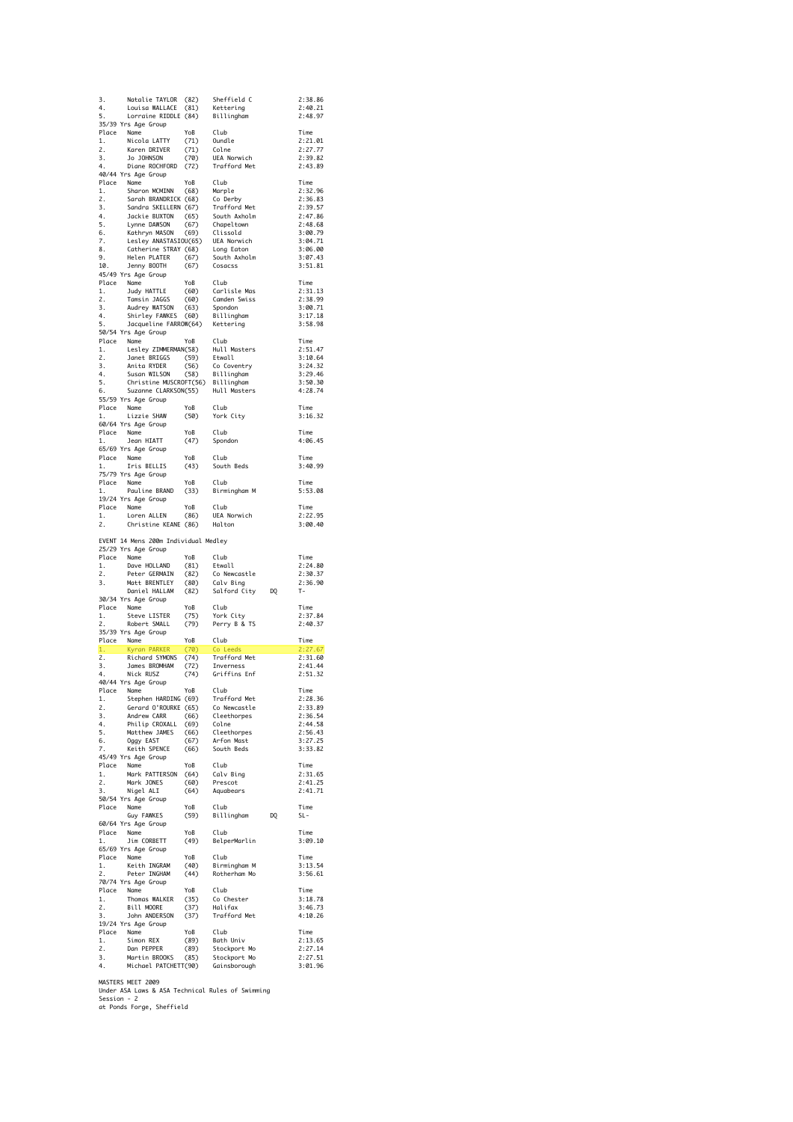| 3.                    | Natalie TAYLOR (82)                                                                                                                                                                                                                                                  |             | Sheffield C                            |    | 2:38.86            |
|-----------------------|----------------------------------------------------------------------------------------------------------------------------------------------------------------------------------------------------------------------------------------------------------------------|-------------|----------------------------------------|----|--------------------|
| 4.                    | Louisa WALLACE                                                                                                                                                                                                                                                       | (81)        | Kettering                              |    | 2:40.21            |
| 5.                    | Lorraine RIDDLE (84)                                                                                                                                                                                                                                                 |             | Billingham                             |    | 2:48.97            |
|                       | 35/39 Yrs Age Group                                                                                                                                                                                                                                                  |             | Club                                   |    |                    |
| 1.                    | Place Name<br>Nicola LATTY                                                                                                                                                                                                                                           | YoB<br>(71) | Oundle                                 |    | Time<br>2:21.01    |
| 2.                    | Karen DRIVER                                                                                                                                                                                                                                                         | (71)        | Colne                                  |    | 2:27.77            |
| 3.                    | Jo JOHNSON                                                                                                                                                                                                                                                           | (70)        | UEA Norwich                            |    | 2:39.82            |
| 4.                    | Diane ROCHFORD                                                                                                                                                                                                                                                       | (72)        | Trafford Met                           |    | 2:43.89            |
|                       | 40/44 Yrs Age Group                                                                                                                                                                                                                                                  |             |                                        |    |                    |
|                       | Place Name                                                                                                                                                                                                                                                           | YoB         | Club                                   |    | Time               |
| 1.                    | Sharon MCMINN                                                                                                                                                                                                                                                        | (68)        | Marple                                 |    | 2:32.96            |
| 2.                    | Sarah BRANDRICK (68)                                                                                                                                                                                                                                                 |             | Co Derby                               |    | 2:36.83            |
| 3.                    | Sandra SKELLERN (67)                                                                                                                                                                                                                                                 |             | Trafford Met                           |    | 2:39.57            |
| 4.                    | Jackie BUXTON                                                                                                                                                                                                                                                        | (65)        | South Axholm                           |    | 2:47.86            |
| 5.                    | Lynne DAWSON                                                                                                                                                                                                                                                         | (67)        | Chapeltown                             |    | 2:48.68            |
| 6.                    | Kathryn MASON                                                                                                                                                                                                                                                        | (69)        | Clissold                               |    | 3:00.79            |
| 7.                    | Lesley ANASTASIOU(65)                                                                                                                                                                                                                                                |             | UEA Norwich                            |    | 3:04.71            |
| 8.                    | Catherine STRAY (68)                                                                                                                                                                                                                                                 |             | Long Eaton                             |    | 3:06.00            |
| 9.                    | Helen PLATER                                                                                                                                                                                                                                                         | (67)        | South Axholm                           |    | 3:07.43            |
| 10.                   | Jenny BOOTH                                                                                                                                                                                                                                                          | (67)        | Cosacss                                |    | 3:51.81            |
|                       | 45/49 Yrs Age Group                                                                                                                                                                                                                                                  |             |                                        |    |                    |
| 1.                    | Place Name<br>Judy HATTLE                                                                                                                                                                                                                                            | YoB<br>(60) | Club<br>Carlisle Mas                   |    | Time<br>2:31.13    |
| 2.                    | Tamsin JAGGS                                                                                                                                                                                                                                                         | (60)        | Camden Swiss                           |    | 2:38.99            |
| 3.                    | Audrey WATSON                                                                                                                                                                                                                                                        | (63)        | Spondon                                |    | 3:00.71            |
| 4.                    | Shirley FAWKES                                                                                                                                                                                                                                                       | (60)        | Billingham                             |    | 3:17.18            |
| 5.                    | Jacqueline FARROW(64)                                                                                                                                                                                                                                                |             | Kettering                              |    | 3:58.98            |
|                       | 50/54 Yrs Age Group                                                                                                                                                                                                                                                  |             |                                        |    |                    |
|                       | Place Name                                                                                                                                                                                                                                                           | YoB         | Club                                   |    | Time               |
| 1.                    | Lesley ZIMMERMAN(58)                                                                                                                                                                                                                                                 |             | Hull Masters                           |    | 2:51.47            |
| 2.                    | Janet BRIGGS                                                                                                                                                                                                                                                         | (59)        | Etwall                                 |    | 3:10.64            |
| 3.                    | Anita RYDER                                                                                                                                                                                                                                                          | (56)        | Co Coventry                            |    | 3:24.32            |
| 4.                    | Susan WILSON                                                                                                                                                                                                                                                         | (58)        | Billingham                             |    | 3:29.46            |
| 5.                    | Christine MUSCROFT(56) Billingham                                                                                                                                                                                                                                    |             |                                        |    | 3:50.30            |
| 6.                    | Suzanne CLARKSON(55)                                                                                                                                                                                                                                                 |             | Hull Masters                           |    | 4:28.74            |
|                       | 55/59 Yrs Age Group                                                                                                                                                                                                                                                  |             |                                        |    |                    |
|                       | Place Name                                                                                                                                                                                                                                                           | YoB         | Club                                   |    | Time               |
| 1.                    | Lizzie SHAW                                                                                                                                                                                                                                                          | (50)        | York City                              |    | 3:16.32            |
|                       | 60/64 Yrs Age Group                                                                                                                                                                                                                                                  |             |                                        |    |                    |
|                       | Place Name                                                                                                                                                                                                                                                           | YoB         | Club                                   |    | Time               |
| 1.                    | Jean HIATT                                                                                                                                                                                                                                                           | (47)        | Spondon                                |    | 4:06.45            |
|                       | 65/69 Yrs Age Group                                                                                                                                                                                                                                                  |             |                                        |    |                    |
| Place                 | Name                                                                                                                                                                                                                                                                 | YoB         | Club                                   |    | Time               |
| 1.                    | Iris BELLIS                                                                                                                                                                                                                                                          | (43)        | South Beds                             |    | 3:40.99            |
|                       | 75/79 Yrs Age Group                                                                                                                                                                                                                                                  | YoB         |                                        |    | Time               |
|                       | Place Name<br>Pauline BRAND                                                                                                                                                                                                                                          | (33)        | Club<br>Birmingham M                   |    | 5:53.08            |
|                       | 19/24 Yrs Age Group                                                                                                                                                                                                                                                  |             |                                        |    |                    |
|                       | Place Name                                                                                                                                                                                                                                                           | YoB         | Club                                   |    | Time               |
| 1.                    | Loren ALLEN                                                                                                                                                                                                                                                          | (86)        | UEA Norwich                            |    | 2:22.95            |
| 2.                    | Christine KEANE (86)                                                                                                                                                                                                                                                 |             | Halton                                 |    | 3:00.40            |
|                       |                                                                                                                                                                                                                                                                      |             |                                        |    |                    |
|                       |                                                                                                                                                                                                                                                                      |             |                                        |    |                    |
|                       |                                                                                                                                                                                                                                                                      |             |                                        |    |                    |
|                       | EVENT 14 Mens 200m Individual Medley<br>25/29 Yrs Age Group                                                                                                                                                                                                          |             |                                        |    |                    |
|                       | Place Name                                                                                                                                                                                                                                                           | YoB         | Club                                   |    | Time               |
| 1.                    | Dave HOLLAND                                                                                                                                                                                                                                                         | (81)        | Etwall                                 |    | 2:24.80            |
| 2.                    | Peter GERMAIN                                                                                                                                                                                                                                                        | (82)        | Co Newcastle                           |    |                    |
| 3.                    | Matt BRENTLEY                                                                                                                                                                                                                                                        | (80)        | Calv Bing                              |    | 2:30.37<br>2:36.90 |
|                       | Daniel HALLAM                                                                                                                                                                                                                                                        | (82)        | Salford City                           | DQ | т-                 |
|                       | 30/34 Yrs Age Group                                                                                                                                                                                                                                                  |             |                                        |    |                    |
|                       | Place Name                                                                                                                                                                                                                                                           | YoB         | Club                                   |    | Time               |
| 1.                    | Steve LISTER                                                                                                                                                                                                                                                         | (75)        | York City                              |    | 2:37.84            |
| 2.                    | Robert SMALL                                                                                                                                                                                                                                                         | (79)        | Perry B & TS                           |    | 2:40.37            |
|                       | 35/39 Yrs Age Group                                                                                                                                                                                                                                                  |             |                                        |    |                    |
|                       | Place Name                                                                                                                                                                                                                                                           | YoB         | Club                                   |    | Time               |
| 1.                    | Kyran PARKER                                                                                                                                                                                                                                                         | (70)        | Co Leeds                               |    | 2:27.67            |
| 2.                    | Richard SYMONS                                                                                                                                                                                                                                                       | (74)        | Trafford Met                           |    | 2:31.60            |
| 3.                    | James BROMHAM                                                                                                                                                                                                                                                        | (72)        | Inverness                              |    | 2:41.44            |
| 4.                    | Nick RUSZ                                                                                                                                                                                                                                                            | (74)        | Griffins Enf                           |    | 2:51.32            |
|                       | 40/44 Yrs Age Group                                                                                                                                                                                                                                                  |             |                                        |    |                    |
| Place<br>.<br>1.      | Name                                                                                                                                                                                                                                                                 | YoB         | Club                                   |    | Time<br>2:28.36    |
| 2.                    |                                                                                                                                                                                                                                                                      |             |                                        |    | 2:33.89            |
|                       |                                                                                                                                                                                                                                                                      |             |                                        |    | 2:36.54            |
| $\frac{2}{3}$ .<br>4. |                                                                                                                                                                                                                                                                      |             |                                        |    | 2:44.58            |
| 5.                    |                                                                                                                                                                                                                                                                      |             |                                        |    | 2:56.43            |
| 6.                    |                                                                                                                                                                                                                                                                      |             |                                        |    | 3:27.25            |
| 7.                    |                                                                                                                                                                                                                                                                      |             |                                        |    | 3:33.82            |
|                       | Name<br>Neephen HARDING (69) Trafford Met<br>Gerard O'ROURKE (65) Co Newcastle<br>Andrew CARR (66) Cleethorpes<br>Andrew CARR (66) Cleethorpes<br>Matthew JAMES (66) Cleethorpes<br>Magy EAST<br>Keith SPENCE (66) South Beds<br>Xeith SPENCE<br>45/49 Yrs Age Group |             |                                        |    |                    |
|                       | Place Name                                                                                                                                                                                                                                                           |             |                                        |    | Time               |
| 1.                    |                                                                                                                                                                                                                                                                      |             |                                        |    | 2:31.65            |
| 2.                    |                                                                                                                                                                                                                                                                      |             |                                        |    | 2:41.25            |
| 3.                    | ma<br>Nigel ALI                                                                                                                                                                                                                                                      |             |                                        |    | 2:41.71            |
|                       | 50/54 Yrs Age Group                                                                                                                                                                                                                                                  |             |                                        |    |                    |
| Place                 | Name                                                                                                                                                                                                                                                                 | YoB         | Club                                   |    | Time               |
|                       | Guy FAWKES                                                                                                                                                                                                                                                           | (59)        | Billingham DQ                          |    | SL-                |
|                       | 60/64 Yrs Age Group                                                                                                                                                                                                                                                  |             |                                        |    |                    |
|                       | Place Name                                                                                                                                                                                                                                                           | YoB         | Club                                   |    | Time               |
|                       | Jim CORBETT                                                                                                                                                                                                                                                          | (49)        | BelperMarlin                           |    | 3:09.10            |
|                       | 65/69 Yrs Age Group                                                                                                                                                                                                                                                  |             |                                        |    |                    |
|                       | Place Name                                                                                                                                                                                                                                                           | YoB         | Club                                   |    | Time               |
| 1.                    | Keith INGRAM                                                                                                                                                                                                                                                         |             |                                        |    | 3:13.54            |
| 2.                    | Peter INGHAM                                                                                                                                                                                                                                                         |             | (40) Birmingham M<br>(44) Rotherham Mo |    | 3:56.61            |
|                       | 70/74 Yrs Age Group                                                                                                                                                                                                                                                  | YoB         | Club                                   |    | Time               |
| 1.                    | Place Name                                                                                                                                                                                                                                                           |             | Co Chester                             |    | 3:18.78            |
|                       | Thomas WALKER                                                                                                                                                                                                                                                        |             | Halifax                                |    | 3:46.73            |
|                       |                                                                                                                                                                                                                                                                      |             | Trafford Met                           |    | 4:10.26            |
| 1.<br>$\frac{2}{\pi}$ | Thomas WALKER (35)<br>Bill MOORE (37)<br>John ANDERSON (37)<br>19/24 Yrs Age Group                                                                                                                                                                                   |             |                                        |    |                    |
|                       |                                                                                                                                                                                                                                                                      | YoB         | Club                                   |    | Time               |
|                       | Place Name                                                                                                                                                                                                                                                           |             |                                        |    | 2:13.65            |
|                       |                                                                                                                                                                                                                                                                      |             |                                        |    | 2:27.14            |
|                       | 1. Simon REX (89) Bath Univ<br>2. Dan PEPPER (89) Stockport Mo<br>3. Martin BROOKS (85) Stockport Mo<br>4. Michael PATCHETT(90) Gainsborough                                                                                                                         |             |                                        |    | 2:27.51<br>3:01.96 |

MASTERS MEET 2009 Under ASA Laws & ASA Technical Rules of Swimming Session - 2 at Ponds Forge, Sheffield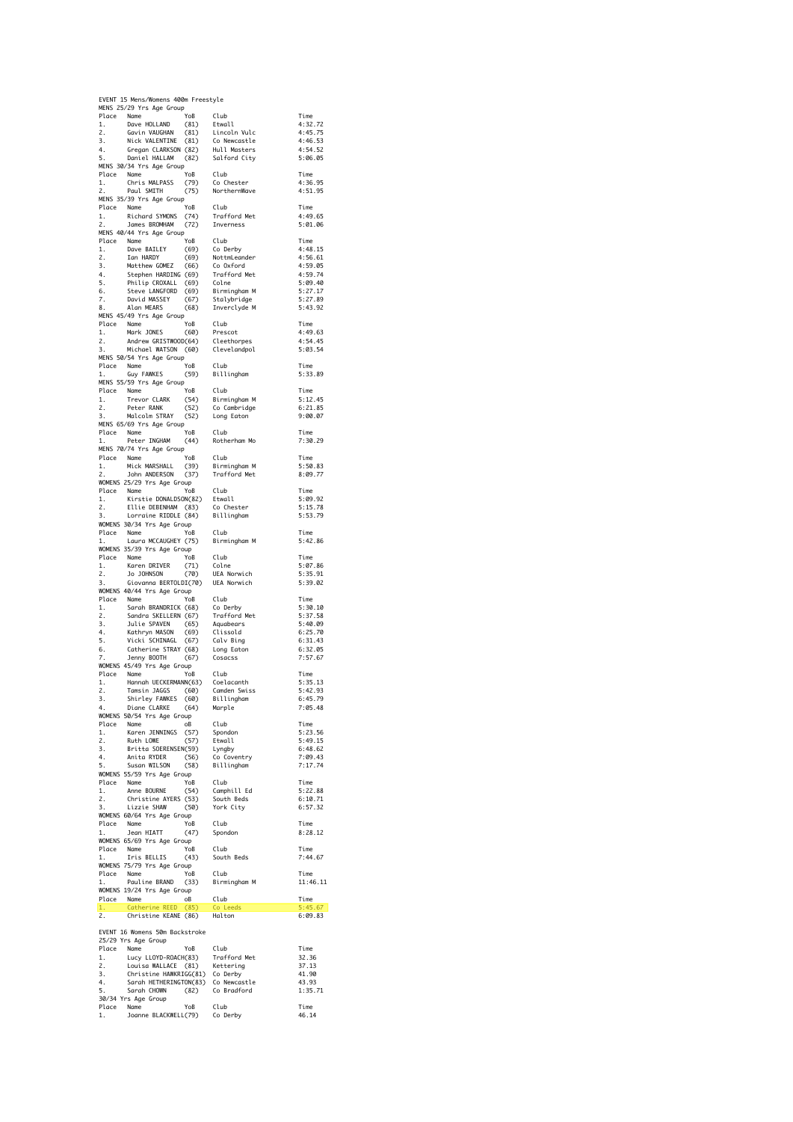|                          |                                                                                                                                                                                                                                                                              | EVENT 15 Mens/Womens 400m Freestyle |                             |                    |
|--------------------------|------------------------------------------------------------------------------------------------------------------------------------------------------------------------------------------------------------------------------------------------------------------------------|-------------------------------------|-----------------------------|--------------------|
|                          | MENS 25/29 Yrs Age Group<br>Place Name<br>1. Dave HOLLAND                                                                                                                                                                                                                    | YoB                                 | Club                        | Time               |
| 2.                       |                                                                                                                                                                                                                                                                              | (81)                                | Etwall                      | 4:32.72<br>4:45.75 |
| 3.                       | Gavin VAUGHAN (81) Lincoln Vulc<br>Nick VALENTINE (81) Co Newcastle<br>Gregan CLARKSON (82) Hull Masters<br>Daniel HALLAM (82) Salford City                                                                                                                                  |                                     |                             | 4:46.53            |
| $\frac{4}{5}$<br>5.      |                                                                                                                                                                                                                                                                              |                                     |                             | 4:54.52<br>5:06.05 |
|                          | MENS 30/34 Yrs Age Group                                                                                                                                                                                                                                                     |                                     |                             |                    |
| Place Name<br>1.         |                                                                                                                                                                                                                                                                              |                                     |                             | Time<br>4:36.95    |
| 2.                       | Paul SMITH                                                                                                                                                                                                                                                                   |                                     |                             | 4:51.95            |
|                          | MENS 35/39 Yrs Age Group                                                                                                                                                                                                                                                     |                                     |                             | Time               |
|                          | Place Name YoB Club<br>1. Richard SYMONS (74) Trafford Met<br>2. James BROMHAM (72) Inverness                                                                                                                                                                                |                                     |                             | 4:49.65            |
|                          | MENS 40/44 Yrs Age Group                                                                                                                                                                                                                                                     |                                     |                             | 5:01.06            |
|                          | Conce name YoB Club<br>1. Dave BAILEY (69) Colerby<br>2. Ian HARDY (69) Nottmleander<br>3. Matthew GOMEZ (66) Colerbreander<br>4. Stephen HARDING (69) Trafford Met<br>5. Philip CROXALL (69) Colne<br>6. Steve LANGFORD (69) Binnisch                                       |                                     |                             | Time<br>4:48.15    |
|                          |                                                                                                                                                                                                                                                                              |                                     |                             | 4:56.61            |
|                          |                                                                                                                                                                                                                                                                              |                                     |                             | 4:59.05            |
|                          |                                                                                                                                                                                                                                                                              |                                     |                             | 4:59.74<br>5:09.40 |
|                          |                                                                                                                                                                                                                                                                              |                                     |                             | 5:27.17            |
|                          | 7. David MASSEY (67)<br>8. Alan MEARS (68)                                                                                                                                                                                                                                   | (68)                                | Stalybridge<br>Inverclyde M | 5:27.89<br>5:43.92 |
|                          | MENS 45/49 Yrs Age Group                                                                                                                                                                                                                                                     |                                     |                             |                    |
|                          | Place Name<br>1. Mark JONES                                                                                                                                                                                                                                                  | YoB<br>(60)                         | Club<br>Prescot             | Time<br>4:49.63    |
| 1.<br>2.<br>3.           | Andrew GRISTWOOD(64)                                                                                                                                                                                                                                                         |                                     | Cleethorpes                 | 4:54.45            |
| 3.                       | Michael WATSON (60)<br>MENS 50/54 Yrs Age Group                                                                                                                                                                                                                              |                                     | Clevelandpol                | 5:03.54            |
| Place Name               |                                                                                                                                                                                                                                                                              | YoB                                 | Club                        | Time               |
| 1.                       | Guy FAWKES<br>MENS 55/59 Yrs Age Group                                                                                                                                                                                                                                       | (59)                                | Billingham                  | 5:33.89            |
| Place Name               |                                                                                                                                                                                                                                                                              | YoB                                 | Club                        | Time               |
| 1.                       |                                                                                                                                                                                                                                                                              |                                     | Birmingham M                | 5:12.45            |
|                          | Name<br>Trevor CLARK (54) Birmingham M<br>Peter RANK (52) Co Cambridge<br>Malcolm STRAY (52) Long Eaton<br>2. Peter RANK (52)<br>3. Malcolm STRAY (52)                                                                                                                       |                                     |                             | 6:21.85<br>9:00.07 |
|                          | MENS 65/69 Yrs Age Group                                                                                                                                                                                                                                                     |                                     |                             |                    |
| Place Name<br>1.         | Peter INGHAM (44)                                                                                                                                                                                                                                                            | YoB                                 | Club<br>Rotherham Mo        | Time<br>7:30.29    |
|                          | MENS 70/74 Yrs Age Group                                                                                                                                                                                                                                                     |                                     |                             |                    |
| Place Name               | Mick MARSHALL                                                                                                                                                                                                                                                                | YoB<br>(39)                         | Club<br>Birmingham M        | Time<br>5:50.83    |
| $\frac{1}{2}$ .          | John ANDERSON                                                                                                                                                                                                                                                                | (37)                                | Trafford Met                | 8:09.77            |
|                          | WOMENS 25/29 Yrs Age Group                                                                                                                                                                                                                                                   |                                     | Club                        | Time               |
|                          | Place Name YoB<br>1. Kirstie DONALDSON(82)                                                                                                                                                                                                                                   |                                     | Etwall                      | 5:09.92            |
| 2.<br>3.                 | Ellie DEBENHAM (83)<br>Ellie DEBENHAM (83) Co Chester<br>Lorraine RIDDLE (84) Billingham                                                                                                                                                                                     |                                     |                             | 5:15.78<br>5:53.79 |
|                          | WOMENS 30/34 Yrs Age Group                                                                                                                                                                                                                                                   |                                     |                             |                    |
| Place Name<br>1.         | Laura MCCAUGHEY (75)                                                                                                                                                                                                                                                         | YoB                                 | Club                        | Time               |
|                          | WOMENS 35/39 Yrs Age Group                                                                                                                                                                                                                                                   |                                     | Birmingham M                | 5:42.86            |
| Place Name               |                                                                                                                                                                                                                                                                              | YoB                                 | Club                        | Time               |
| 1.                       | <br>Karen DRIVER (71)<br>Jo JOHNSON (70)                                                                                                                                                                                                                                     |                                     | Colne<br>UEA Norwich        | 5:07.86<br>5:35.91 |
| $\frac{2}{3}$<br>3.      | Giovanna BERTOLDI(70)                                                                                                                                                                                                                                                        |                                     | UEA Norwich                 | 5:39.02            |
|                          | WOMENS 40/44 Yrs Age Group                                                                                                                                                                                                                                                   |                                     | Club                        | Time               |
|                          | Place Name<br>1. Sarah BRANDRICK (68)                                                                                                                                                                                                                                        |                                     |                             | 5:30.10            |
|                          |                                                                                                                                                                                                                                                                              |                                     |                             | 5:37.58            |
|                          |                                                                                                                                                                                                                                                                              |                                     |                             |                    |
|                          |                                                                                                                                                                                                                                                                              |                                     |                             | 5:40.09<br>6:25.70 |
|                          |                                                                                                                                                                                                                                                                              |                                     |                             | 6:31.43            |
|                          |                                                                                                                                                                                                                                                                              |                                     |                             | 6:32.05<br>7:57.67 |
|                          | These Condensity Condensity Condensity Condensity Condensity Condensity Condensity Condensity Condensity Condensity Condensity Condensity Condensity Condensity Condensity Condensity Condensity Condensity Condensity Condens<br>WOMENS 45/49 Yrs Age Group                 |                                     |                             |                    |
|                          |                                                                                                                                                                                                                                                                              |                                     | Club<br>Coelacanth          | Time<br>5:35.13    |
| $\overline{\phantom{a}}$ | Place Name YoB<br>1. Hannah UECKERMANN(63)<br>Tamsin JAGGS (60)                                                                                                                                                                                                              |                                     | Camden Swiss                | 5:42.93            |
| 3.                       | cambin JAGGS (כסיסת Cambin Shirley FAWKES (60) Billingham                                                                                                                                                                                                                    |                                     |                             | 6:45.79            |
| 4.                       | Diane CLARKE (64)<br>WOMENS 50/54 Yrs Age Group                                                                                                                                                                                                                              |                                     | Marple                      | 7:05.48            |
|                          |                                                                                                                                                                                                                                                                              |                                     |                             | Time               |
|                          |                                                                                                                                                                                                                                                                              |                                     |                             | 5:23.56<br>5:49.15 |
|                          |                                                                                                                                                                                                                                                                              |                                     |                             | 6:48.62<br>7:09.43 |
|                          |                                                                                                                                                                                                                                                                              |                                     |                             | 7:17.74            |
|                          | Where Nome<br>Place Name<br>2. Ruth LOWE (57) Etwall<br>3. Ruth LOWE (57) Etwall<br>3. Britta SOERENSEN(59) Lyngby<br>4. Anita RYDER (56) Co Coventry<br>5. Susan WILSON (58) Billingham<br>2. Susan WILSON (58) Billingham<br>2. Susan WILSON<br>WOMENS 55/59 Yrs Age Group |                                     |                             |                    |
|                          |                                                                                                                                                                                                                                                                              |                                     |                             | Time<br>5:22.88    |
|                          |                                                                                                                                                                                                                                                                              |                                     |                             | 6:10.71            |
|                          | Place Name<br>1. Anne BOURNE (54) Camphill Ed<br>2. Christine AYERS (53) South Beds<br>3. Lizzie SHAN (50) York City<br>1. Carl Vie Anne Campan<br>WOMENS 60/64 Yrs Age Group                                                                                                |                                     |                             | 6:57.32            |
|                          |                                                                                                                                                                                                                                                                              |                                     | Club                        | Time               |
| Place Name<br>1. Jean    | Jean HIATT<br>WOMENS 65/69 Yrs Age Group                                                                                                                                                                                                                                     | oup<br>YoB<br>(47)                  | Spondon                     | 8:28.12            |
| Place Name               |                                                                                                                                                                                                                                                                              |                                     | Club                        | Time               |
| 1.                       | Iris BELLIS<br>TE<br>WOMENS 75/79 Yrs Age Group                                                                                                                                                                                                                              | $YoB$<br>(43)                       | South Beds                  | 7:44.67            |
|                          |                                                                                                                                                                                                                                                                              | $Y \circ B$                         | Club                        | Time               |
|                          | Place Name<br>1. Pauline BRAND                                                                                                                                                                                                                                               | (33)                                | Birmingham M                | 11:46.11           |
|                          | WOMENS 19/24 Yrs Age Group                                                                                                                                                                                                                                                   | оB                                  | Club                        | Time               |
|                          | Place Name<br>1. Catherine REED                                                                                                                                                                                                                                              |                                     | Co Leeds                    | 5:45.67<br>6:09.83 |
|                          | 1. Catherine REED (85) to Let.<br>2. Christine KEANE (86) Halton                                                                                                                                                                                                             |                                     |                             |                    |
|                          | EVENT 16 Womens 50m Backstroke                                                                                                                                                                                                                                               |                                     |                             |                    |
| Place Name               | 25/29 Yrs Age Group                                                                                                                                                                                                                                                          | YoB                                 | Club                        | Time               |
|                          |                                                                                                                                                                                                                                                                              |                                     | Trafford Met                | 32.36<br>37.13     |
|                          | Prace Numer<br>1. Lucy LLOYD-ROACH(83) Trafford M<br>2. Louisa WALLACE (81) Kettering<br>3. Christine HAWKRIGG(81) Co Derby                                                                                                                                                  |                                     |                             | 41.90              |
| 4.<br>5.                 |                                                                                                                                                                                                                                                                              |                                     |                             | 43.93              |
|                          | Sarah HETHERINGTON(83) Co Newcastle<br>Sarah CHOWN (82) Co Bradford<br>Sarah CHOWN<br>30/34 Yrs Age Group                                                                                                                                                                    |                                     |                             | 1:35.71            |
| Place Name<br>1.         | Name YoB Club<br>Joanne BLACKWELL(79) Co Derby                                                                                                                                                                                                                               |                                     |                             | Time<br>46.14      |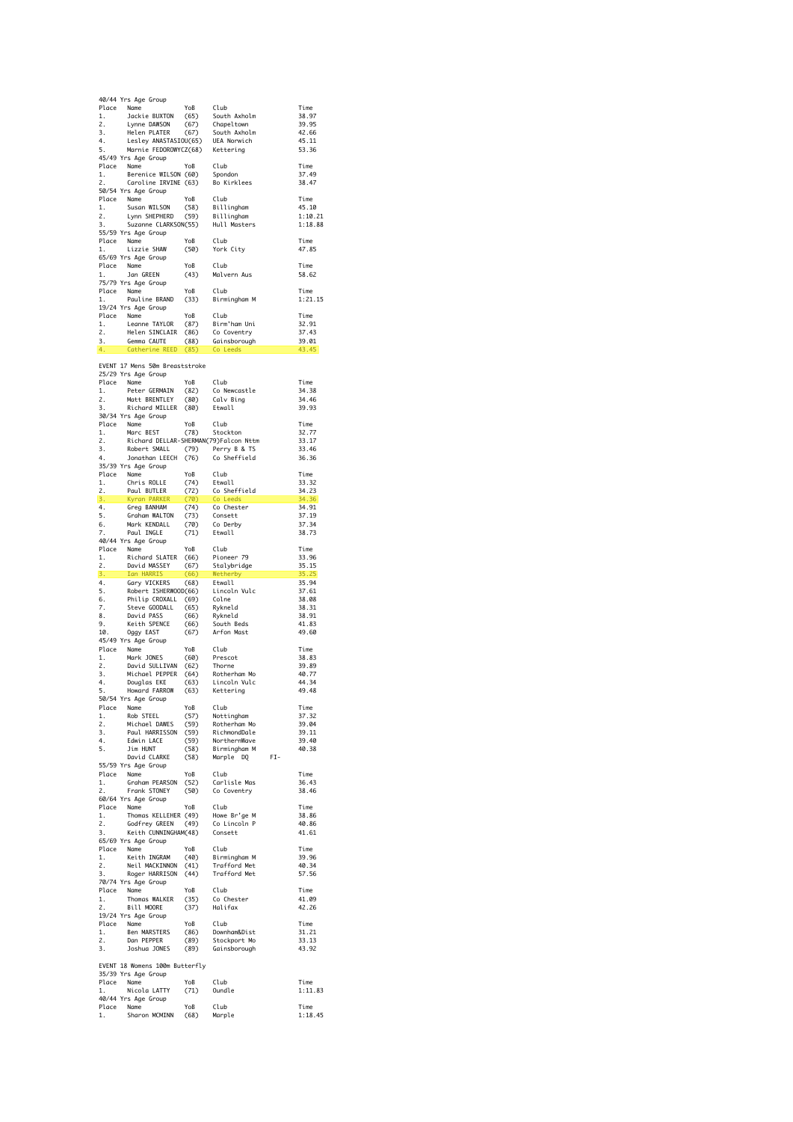|                      | 40/44 Yrs Age Group                                                                                                                                                                                                        |                                                     |                                                  |                    |
|----------------------|----------------------------------------------------------------------------------------------------------------------------------------------------------------------------------------------------------------------------|-----------------------------------------------------|--------------------------------------------------|--------------------|
| 1.                   | Place Name<br>Jackie BUXTON                                                                                                                                                                                                | YoB<br>(65)                                         | Club<br>South Axholm                             | Time<br>38.97      |
| 2.                   | Lynne DAWSON                                                                                                                                                                                                               | (67)                                                | Chapeltown                                       | 39.95              |
| 3.                   | Helen PLATER                                                                                                                                                                                                               | (67)                                                | South Axholm                                     | 42.66              |
| 4.<br>5.             | Lesley ANASTASIOU(65)<br>Marnie FEDOROWYCZ(68)                                                                                                                                                                             |                                                     | UEA Norwich                                      | 45.11              |
|                      | 45/49 Yrs Age Group                                                                                                                                                                                                        |                                                     | Kettering                                        | 53.36              |
|                      | Place Name                                                                                                                                                                                                                 | YoB                                                 | Club                                             | Time               |
| 1.                   | Berenice WILSON (60) Spondon<br>Caroline IRVINE (63) Bo Kirklees                                                                                                                                                           |                                                     |                                                  | 37.49              |
| 2.                   | 50/54 Yrs Age Group                                                                                                                                                                                                        |                                                     |                                                  | 38.47              |
|                      | Place Name                                                                                                                                                                                                                 | YoB                                                 | Club                                             | Time               |
| 1.                   | Susan WILSON                                                                                                                                                                                                               | (58)                                                | Billingham<br>Billingham                         | 45.10              |
| 2.<br>3.             | Lynn SHEPHERD<br>Suzanne CLARKSON(55)                                                                                                                                                                                      | (59)                                                | Hull Masters                                     | 1:10.21<br>1:18.88 |
|                      | 55/59 Yrs Age Group                                                                                                                                                                                                        |                                                     |                                                  |                    |
|                      | Place Name                                                                                                                                                                                                                 | YoB                                                 | Club                                             | Time               |
| 1.                   | Lizzie SHAW                                                                                                                                                                                                                | (50)                                                | York City                                        | 47.85              |
|                      | 65/69 Yrs Age Group<br>Place Name                                                                                                                                                                                          | YoB                                                 | Club                                             | Time               |
| 1.                   | Jan GREEN                                                                                                                                                                                                                  | (43)                                                | Malvern Aus                                      | 58.62              |
|                      | 75/79 Yrs Age Group                                                                                                                                                                                                        |                                                     |                                                  |                    |
|                      | Place Name                                                                                                                                                                                                                 | YoB                                                 | Club                                             | Time               |
| 1.                   | Pauline BRAND<br>19/24 Yrs Age Group                                                                                                                                                                                       | (33)                                                | Birmingham M                                     | 1:21.15            |
|                      |                                                                                                                                                                                                                            | YoB                                                 | Club                                             | Time               |
|                      |                                                                                                                                                                                                                            | (87)                                                | Birm'ham Uni                                     | 32.91              |
|                      | Place Name<br>1. Leanne TAYLOR<br>2. Helen SINCLAIR<br>3. German CAUTE                                                                                                                                                     | (86)<br>(86)<br>(88)                                | Co Coventry                                      | 37.43<br>39.01     |
| 4.                   | Catherine REED (85)                                                                                                                                                                                                        |                                                     | Gainsborough<br>Co Leeds                         | 43.45              |
|                      |                                                                                                                                                                                                                            |                                                     |                                                  |                    |
|                      | EVENT 17 Mens 50m Breaststroke                                                                                                                                                                                             |                                                     |                                                  |                    |
|                      | 25/29 Yrs Age Group                                                                                                                                                                                                        | YoB                                                 | Club                                             | Time               |
| 1.                   | Place Name<br>Peter GERMAIN                                                                                                                                                                                                |                                                     | Co Newcastle                                     | 34.38              |
| 2.                   | Matt BRENTLEY                                                                                                                                                                                                              |                                                     |                                                  | 34.46              |
| 3.                   | Richard MILLER                                                                                                                                                                                                             |                                                     | (82) Co Newcast<br>(80) Calv Bing<br>(80) Etwall | 39.93              |
|                      | 30/34 Yrs Age Group                                                                                                                                                                                                        |                                                     |                                                  | Time               |
| 1.                   | Place Name<br>Marc BEST                                                                                                                                                                                                    |                                                     | YoB Club<br>(78) Stockton                        | 32.77              |
| 2.                   | Richard DELLAR-SHERMAN(79)Falcon Nttm                                                                                                                                                                                      |                                                     |                                                  | 33.17              |
| $\frac{3}{4}$ .      | Robert SMALL (79) Perry B & TS<br>Jonathan LEECH (76) Co Sheffield                                                                                                                                                         |                                                     |                                                  | 33.46              |
| 4.                   | Jonathan LEECH (76)<br>35/39 Yrs Age Group                                                                                                                                                                                 |                                                     | Co Sheffield                                     | 36.36              |
|                      | Place Name                                                                                                                                                                                                                 | YoB                                                 | Club                                             | Time               |
|                      |                                                                                                                                                                                                                            |                                                     | (74) Etwall<br>(72) Co Sheffield                 | 33.32              |
|                      | 1. Chris ROLLE<br>2. Paul BUTLER<br>3. Kyran PARKER                                                                                                                                                                        |                                                     |                                                  | 34.23              |
| 4.                   | Greg BANHAM                                                                                                                                                                                                                | (74)                                                | $(70)$ Co Leeds                                  | 34.36<br>34.91     |
| 5.                   | Graham WALTON                                                                                                                                                                                                              | (73)                                                | Co Chester<br>Consett<br>Consett                 | 37.19              |
| 6.                   | Mark KENDALL                                                                                                                                                                                                               | (70)                                                | Co Derby                                         | 37.34              |
| 7.                   | Paul INGLE                                                                                                                                                                                                                 | (71)                                                | Etwall                                           | 38.73              |
|                      | 40/44 Yrs Age Group<br>Place Name                                                                                                                                                                                          | YoB                                                 | Club                                             | Time               |
| 1.                   |                                                                                                                                                                                                                            |                                                     |                                                  |                    |
|                      |                                                                                                                                                                                                                            |                                                     |                                                  | 33.96              |
| 2.                   |                                                                                                                                                                                                                            |                                                     |                                                  | 35.15              |
|                      | ALL HAMME<br>Richard SLATER (66) Pioneer 79<br>David MASSEY (67) Stalybridge<br>Ton MADRIC (67) Stalybridge<br>3. Ian HARRIS                                                                                               |                                                     | (66) Wetherby                                    | 35.25              |
|                      |                                                                                                                                                                                                                            |                                                     |                                                  | 35.94<br>37.61     |
|                      |                                                                                                                                                                                                                            |                                                     |                                                  | 38.08              |
|                      |                                                                                                                                                                                                                            |                                                     |                                                  | 38.31              |
|                      |                                                                                                                                                                                                                            |                                                     |                                                  | 38.91              |
| 9.                   | 4. Gary VICKERS (68) Etwall<br>5. Robert ISHERWOOD(66) Lincoln Vulc<br>6. Philip CROXALL (69) Colne<br>7. Steve GODDALL (65) Rykneld<br>8. David PASS (66) Rykneld<br>9. Keith SPENCE (66) South Beds<br>Keith SPENCE      | (66)                                                | South Beds<br>Arfon Mast                         | 41.83<br>49.60     |
|                      | 10. Oggy EAST<br>45/49 Yrs Age Group                                                                                                                                                                                       | (67)                                                |                                                  |                    |
|                      | Place Name                                                                                                                                                                                                                 | YoB                                                 | Club                                             | Time               |
| 1.                   | Mark JONES                                                                                                                                                                                                                 | (60)                                                | Prescot                                          | 38.83              |
| 2.<br>3.             | David SULLIVAN (62)<br>Michael PEPPER (64)                                                                                                                                                                                 |                                                     | Thorne<br>Rotherham Mo                           | 39.89<br>40.77     |
| 4.                   | Douglas EKE                                                                                                                                                                                                                | (63)                                                | Lincoln Vulc                                     | 44.34              |
| 5.                   | Howard FARROW                                                                                                                                                                                                              | (63)                                                | Kettering                                        | 49.48              |
|                      | 50/54 Yrs Age Group                                                                                                                                                                                                        |                                                     |                                                  | Time               |
|                      |                                                                                                                                                                                                                            | YoB                                                 | Club                                             | 37.32              |
| $\frac{1}{1}$<br>2.  | Place Name<br>1. Rob STEEL<br>Michael DAWES                                                                                                                                                                                |                                                     |                                                  | 39.04              |
| 3.                   |                                                                                                                                                                                                                            |                                                     |                                                  | 39.11<br>39.40     |
| 4.<br>5.             |                                                                                                                                                                                                                            |                                                     |                                                  | 40.38              |
|                      | Now ETEL C57) Nothingham<br>Michael DAWES (59) Rotherham Mo<br>Paul HARRISSON (59) RichmondDale<br>Edwin LACE (58) NorthernWave<br>Jim HUNT (58) NorthernWave<br>Jim HUNT (58) Birmingham M<br>David CLARKE (58) Marple DQ |                                                     | $FL-$                                            |                    |
|                      | 55/59 Yrs Age Group                                                                                                                                                                                                        |                                                     |                                                  |                    |
|                      | Place Name                                                                                                                                                                                                                 | YoB                                                 | Club<br>Carlisle Mas                             | Time<br>36.43      |
| $\frac{1}{2}$<br>2.  |                                                                                                                                                                                                                            |                                                     |                                                  | 38.46              |
|                      | 60/64 Yrs Age Group                                                                                                                                                                                                        |                                                     |                                                  |                    |
|                      | Place Name                                                                                                                                                                                                                 |                                                     |                                                  | Time               |
| 1.<br>2.             |                                                                                                                                                                                                                            |                                                     |                                                  | 38.86<br>40.86     |
| 3.                   |                                                                                                                                                                                                                            |                                                     |                                                  | 41.61              |
|                      | Nume YoB Club<br>Thomas KELLEHER (49) Howe Br'ge M<br>Godfrey GREEN (49) Co Lincoln P<br>Keith CUNNINGHAM(48) Consett<br>Sage Group<br>65/69 Yrs Age Group                                                                 |                                                     |                                                  |                    |
|                      |                                                                                                                                                                                                                            |                                                     |                                                  | Time<br>39.96      |
|                      |                                                                                                                                                                                                                            |                                                     |                                                  | 40.34              |
|                      |                                                                                                                                                                                                                            |                                                     |                                                  | 57.56              |
|                      | ream Indiana Mobil Club<br>1. Keith INGRAM (40) Birmingham M<br>2. Neil MACKINNON (41) Trafford Met<br>3. Roger HARRISON (44) Trafford Met<br>70/74 Yrs Age Groun                                                          | YoB                                                 | Club                                             | Time               |
| 1.                   | Place Name<br>Thomas WALKER                                                                                                                                                                                                |                                                     | Co Chester                                       | 41.09              |
| 2.                   | Bill MOORE                                                                                                                                                                                                                 | $(35)$<br>$(37)$                                    | Halifax                                          | 42.26              |
|                      | 19/24 Yrs Age Group                                                                                                                                                                                                        |                                                     |                                                  |                    |
| 1.                   | Place Name                                                                                                                                                                                                                 | YoB                                                 | Club<br>Downham&Dist                             | Time<br>31.21      |
|                      | Ben MARSTERS<br>Dan PEPPER                                                                                                                                                                                                 |                                                     | Stockport Mo                                     | 33.13              |
| $\mathbf{2}$ .<br>3. | Joshua JONES                                                                                                                                                                                                               | $\begin{array}{c} (86) \\ (89) \\ (89) \end{array}$ | Gainsborough                                     | 43.92              |
|                      |                                                                                                                                                                                                                            |                                                     |                                                  |                    |
|                      | EVENT 18 Womens 100m Butterfly<br>35/39 Yrs Age Group                                                                                                                                                                      |                                                     |                                                  |                    |
|                      | Place Name                                                                                                                                                                                                                 | YoB                                                 | Club                                             | Time               |
| 1.                   | Nicola LATTY                                                                                                                                                                                                               | (71)                                                | Oundle                                           | 1:11.83            |
|                      | 40/44 Yrs Age Group                                                                                                                                                                                                        |                                                     |                                                  | Time               |
| 1.                   | Place Name<br>Name YoB Club<br>Sharon MCMINN (68) Marple                                                                                                                                                                   |                                                     | Club                                             | 1:18.45            |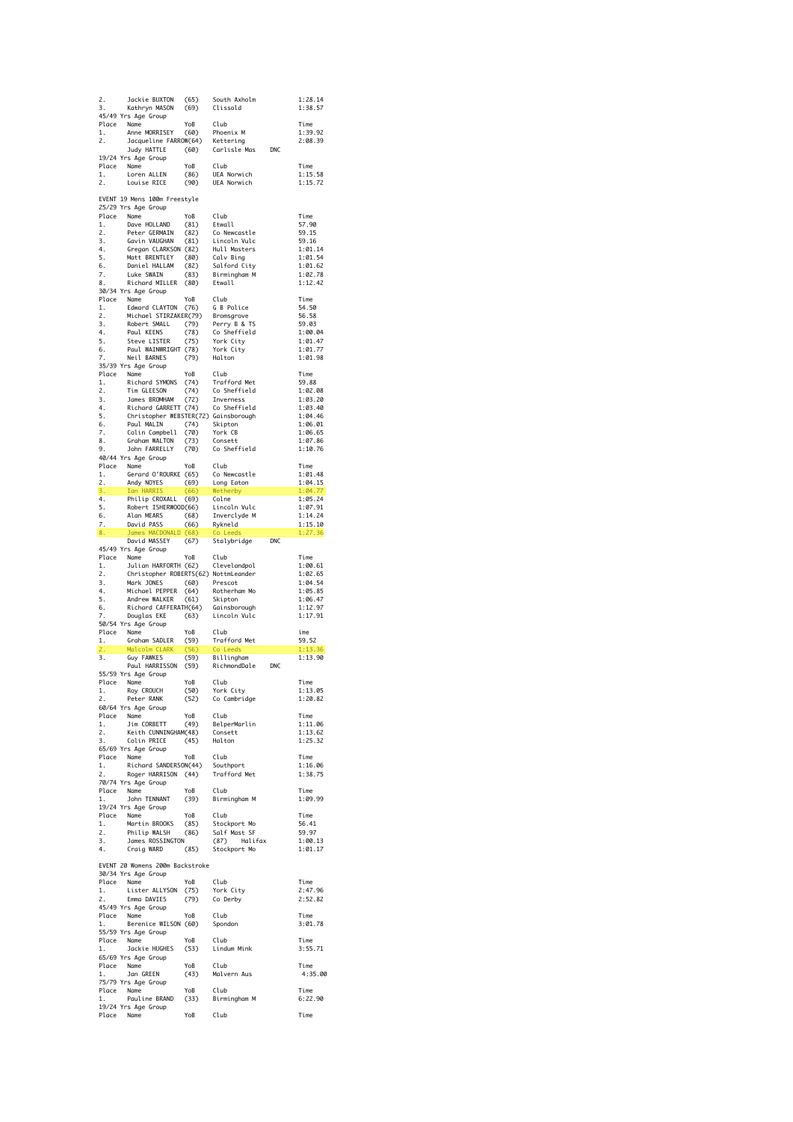| 2.<br>3.         | Jackie BUXTON<br>Kathryn MASON<br>45/49 Yrs Age Group                                                                                                                      | (65)<br>(69) | South Axholm<br>Clissold            |            | 1:28.14<br>1:38.57         |
|------------------|----------------------------------------------------------------------------------------------------------------------------------------------------------------------------|--------------|-------------------------------------|------------|----------------------------|
| 1.<br>2.         | Place Name<br>Anne MORRISEY<br>Jacqueline FARROW(64) Kettering                                                                                                             | YoB<br>(60)  | Club<br>Phoenix M                   |            | Time<br>1:39.92<br>2:08.39 |
|                  | Judy HATTLE<br>19/24 Yrs Age Group                                                                                                                                         | (60)         | Carlisle Mas                        | <b>DNC</b> |                            |
| Place<br>1.      | Name<br>Loren ALLEN                                                                                                                                                        | YoB<br>(86)  | Club<br>UEA Norwich                 |            | Time<br>1:15.58            |
| 2.               | Louise RICE                                                                                                                                                                | (90)         | UEA Norwich                         |            | 1:15.72                    |
|                  | EVENT 19 Mens 100m Freestyle<br>25/29 Yrs Age Group                                                                                                                        |              |                                     |            |                            |
| Place<br>1.      | Name<br>Dave HOLLAND                                                                                                                                                       | YoB<br>(81)  | Club<br>Etwall                      |            | Time<br>57.90              |
| 2.               | Peter GERMAIN                                                                                                                                                              | (82)         | Co Newcastle                        |            | 59.15                      |
| 3.<br>4.         | Gavin VAUGHAN<br>Gregan CLARKSON (82)                                                                                                                                      | (81)         | Lincoln Vulc<br>Hull Masters        |            | 59.16<br>1:01.14           |
| 5.               | Matt BRENTLEY                                                                                                                                                              | (80)         | Calv Bing                           |            | 1:01.54                    |
| 6.<br>7.         | Daniel HALLAM<br>Luke SWAIN                                                                                                                                                | (82)<br>(83) | Salford City<br>Birmingham M        |            | 1:01.62<br>1:02.78         |
| 8.               | Richard MILLER                                                                                                                                                             | (80)         | Etwall                              |            | 1:12.42                    |
|                  | 30/34 Yrs Age Group                                                                                                                                                        | YoB          | Club                                |            | Time                       |
| 1.               | Place Name<br>1. Edward CLAYTON                                                                                                                                            | (76)         | G B Police                          |            | 54.50                      |
| 2.<br>3.         | Michael STIRZAKER(79) Bromsgrove<br>Robert SMALL                                                                                                                           | (79)         | Perry B & TS                        |            | 56.58<br>59.03             |
| 4.               | Paul KEENS                                                                                                                                                                 | (78)         | Co Sheffield                        |            | 1:00.04                    |
| 5.<br>6.         | Steve LISTER<br>Paul WAINWRIGHT (78)                                                                                                                                       | (75)         | York City<br>York City              |            | 1:01.47<br>1:01.77         |
| 7.               | Neil BARNES                                                                                                                                                                | (79)         | Halton                              |            | 1:01.98                    |
|                  | 35/39 Yrs Age Group<br>Place Name                                                                                                                                          | YoB          | Club                                |            | Time                       |
| 1.               | Richard SYMONS                                                                                                                                                             | (74)         | Trafford Met                        |            | 59.88                      |
| 2.<br>3.         | Tim GLEESON<br>James BROMHAM                                                                                                                                               | (74)<br>(72) | Co Sheffield<br>Inverness           |            | 1:02.08<br>1:03.20         |
| 4.               | Richard GARRETT (74)                                                                                                                                                       |              | Co Sheffield                        |            | 1:03.40                    |
| 5.               | Christopher WEBSTER(72) Gainsborough                                                                                                                                       |              |                                     |            | 1:04.46                    |
| 6.<br>7.         | Paul MALIN<br>Colin Campbell                                                                                                                                               | (74)<br>(70) | Skipton<br>York CB                  |            | 1:06.01<br>1:06.65         |
| 8.               | Graham WALTON                                                                                                                                                              | (73)         | Consett                             |            | 1:07.86                    |
| 9.               | John FARRELLY<br>40/44 Yrs Age Group                                                                                                                                       | (70)         | Co Sheffield                        |            | 1:10.76                    |
|                  | Place Name                                                                                                                                                                 | YoB          | Club                                |            | Time                       |
| 1.<br>2.         | Gerard O'ROURKE (65)<br>Andy NOYES (69)                                                                                                                                    |              | Co Newcastle<br>Long Eaton          |            | 1:01.48<br>1:04.15         |
| $\overline{3}$ . | Ian HARRIS                                                                                                                                                                 | (66)         | Wetherby                            |            | 1:04.77                    |
| 4.<br>5.         | Philip CROXALL (69)<br>Robert ISHERWOOD(66)                                                                                                                                |              | Colne<br>Lincoln Vulc               |            | 1:05.24<br>1:07.91         |
| 6.               | Alan MEARS                                                                                                                                                                 | (68)         | Inverclyde M                        |            | 1:14.24                    |
| 7.<br>8.         | David PASS<br>James MACDONALD (68)                                                                                                                                         | (66)         | .<br>Rykneld<br>Co Leeds            |            | 1:15.10<br>1:27.36         |
|                  | David MASSEY<br>45/49 Yrs Age Group                                                                                                                                        | (67)         | Stalybridge                         | DNC        |                            |
|                  | Place Name                                                                                                                                                                 | YoB          | Club                                |            | Time                       |
| 1.<br>2.         | Julian HARFORTH (62)<br>Christopher ROBERTS(62) NottmLeander                                                                                                               |              | Clevelandpol                        |            | 1:00.61<br>1:02.65         |
| $\frac{3}{4}$ .  | Mark JONES                                                                                                                                                                 | (60)         | Prescot                             |            | 1:04.54                    |
| 4.<br>5.         | Michael PEPPER<br>Andrew WALKER                                                                                                                                            | (64)<br>(61) | Rotherham Mo<br>Skipton             |            | 1:05.85<br>1:06.47         |
| 6.               | Richard CAFFERATH(64) Gainsborough                                                                                                                                         |              |                                     |            | 1:12.97                    |
| 7.               | Douglas EKE<br>50/54 Yrs Age Group                                                                                                                                         | (63)         | Lincoln Vulc                        |            | 1:17.91                    |
| Place            | Name                                                                                                                                                                       | YoB          | Club                                |            | ime                        |
| 1.<br>2.         | Graham SADLER<br>Malcolm CLARK                                                                                                                                             | (59)<br>(56) | Trafford Met<br>Co Leeds            |            | 59.52<br>1:13.36           |
| 3.               | Guy FAWKES                                                                                                                                                                 | (59)         | Billingham                          |            | 1:13.90                    |
|                  | Paul HARRISSON<br>55/59 Yrs Age Group                                                                                                                                      | (59)         | RichmondDale                        | DNC        |                            |
|                  | Place Name                                                                                                                                                                 | YoB          | Club                                |            | Time                       |
| ı.<br>2.         | Roy CROUCH<br>-, covuuth<br>Peter RANK                                                                                                                                     |              | (50) York City<br>(52) Co Cambridge |            | 1:13.05<br>1:20.82         |
|                  | 60/64 Yrs Age Group                                                                                                                                                        |              |                                     |            |                            |
|                  |                                                                                                                                                                            |              |                                     |            | Time<br>1:11.06            |
|                  | Place Name YoB Club<br>1. Jim CORBETT (49) BelperMarlin<br>2. Keith CUNNINGHAM(48) Consett<br>3. Colin PRICE (45) Halton                                                   |              |                                     |            | 1:13.62                    |
|                  | 65/69 Yrs Age Group                                                                                                                                                        |              |                                     |            | 1:25.32                    |
|                  | Place Name YoB Club<br>1. Richard SANDERSON(44) Southport<br>2. Roger HARRISON (44) Trafford Met                                                                           |              |                                     |            | Time                       |
|                  |                                                                                                                                                                            |              |                                     |            | 1:16.06                    |
|                  |                                                                                                                                                                            |              |                                     |            |                            |
| 1.               | 70/74 Yrs Age Group                                                                                                                                                        |              |                                     |            | 1:38.75                    |
|                  | Place Name                                                                                                                                                                 |              |                                     |            | Time                       |
|                  | Name YoB Club<br>John TENNANT (39) Birmingham M<br>19/24 Yrs Age Group                                                                                                     |              |                                     |            | 1:09.99                    |
|                  |                                                                                                                                                                            |              |                                     |            | Time                       |
|                  |                                                                                                                                                                            |              |                                     |            | 56.41<br>59.97             |
|                  |                                                                                                                                                                            |              |                                     |            | 1:00.13                    |
|                  | Place Name<br>Place Name<br>1. Martin BROOKS (85) Stockport Mo<br>2. Philip WALSH (86) Salf Mast SF<br>3. James ROSSINGTON (87) Halifax<br>4. Craig WARD (85) Stockport Mo |              |                                     |            | 1:01.17                    |
|                  |                                                                                                                                                                            |              |                                     |            |                            |
|                  | EVENT 20 Womens 200m Backstroke<br>30/34 Yrs Age Group                                                                                                                     |              |                                     |            | Time                       |
|                  |                                                                                                                                                                            |              |                                     |            | 2:47.96                    |
|                  | Place Name YoB Club<br>1. Lister ALLYSON (75) York City<br>2. EmmaDDAVIES (79) CoDerby<br>45/49 Yrs Age Group                                                              |              |                                     |            | 2:52.82                    |
|                  |                                                                                                                                                                            |              | Club                                |            | Time                       |
|                  | Place Name YoB<br>1. Berenice WILSON (60)<br>55/59 Yrs Age Group                                                                                                           |              | Spondon                             |            | 3:01.78                    |
|                  |                                                                                                                                                                            |              |                                     |            | Time                       |
|                  | 65/69 Yrs Age Group                                                                                                                                                        |              |                                     |            | 3:55.71                    |
|                  | Place Name<br>1 lan G                                                                                                                                                      |              |                                     |            | Time<br>4:35.00            |
| 1.               | Name<br>Jan GREEN<br>75/79 Yrs Age Group                                                                                                                                   |              | YoB Club<br>(43) Malvern Aus        |            |                            |
|                  |                                                                                                                                                                            |              |                                     |            | Time<br>6:22.90            |
|                  | 19/24 Yrs Age Group<br>Place Name                                                                                                                                          | YoB Club     |                                     |            | Time                       |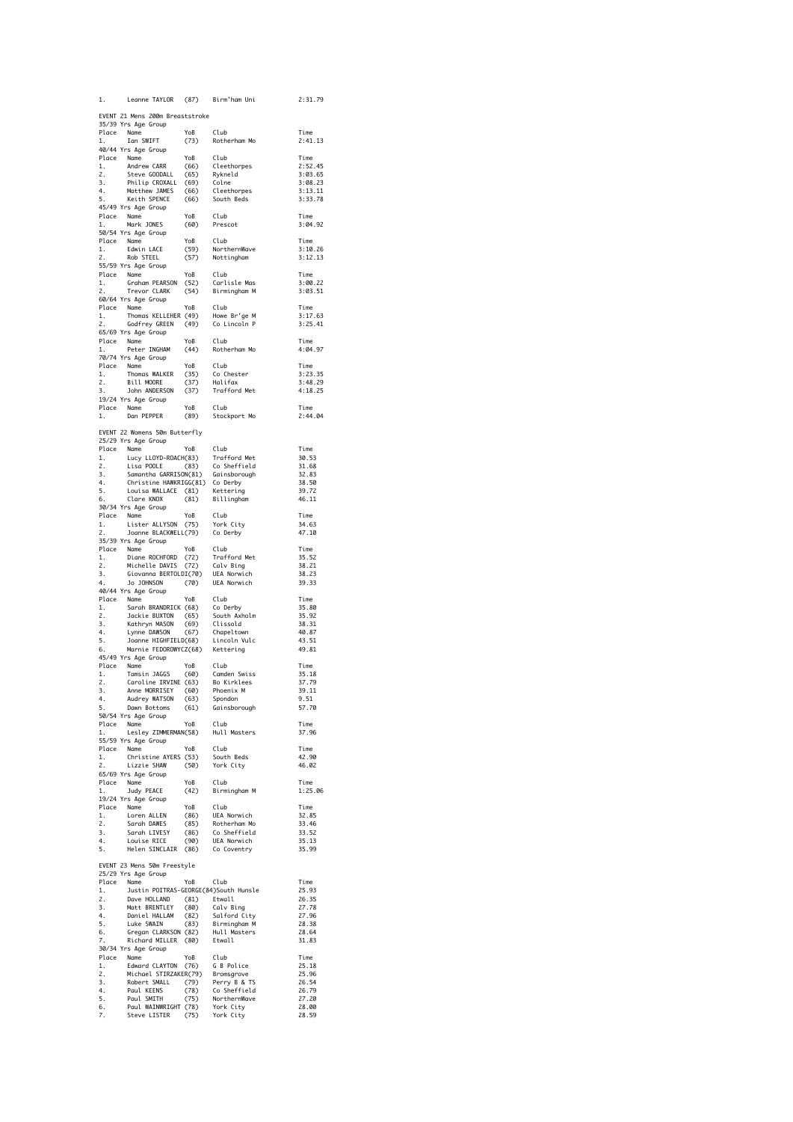| 1.                               | Leanne TAYLOR (87) Birm'ham Uni                                                                                                                                                                                                                  |                       |                      | 2:31.79            |
|----------------------------------|--------------------------------------------------------------------------------------------------------------------------------------------------------------------------------------------------------------------------------------------------|-----------------------|----------------------|--------------------|
|                                  | EVENT 21 Mens 200m Breaststroke                                                                                                                                                                                                                  |                       |                      |                    |
|                                  | 35/39 Yrs Age Group                                                                                                                                                                                                                              |                       |                      | Time               |
| 1.                               | Place Name<br>Ian SWIFT                                                                                                                                                                                                                          | YoB Club<br>(73) Roth | Rotherham Mo         | 2:41.13            |
|                                  | 40/44 Yrs Age Group                                                                                                                                                                                                                              |                       |                      | Time               |
|                                  | To The Name<br>The Name<br>1. Andrew CARR (66) Cleethorpes<br>2. Steve GODALL (65) Rykneld<br>3. Philip CROXALL (69) Colne<br>4. Matthew JAMES (66) Cleethorpes<br>5. Keith SPENCE (66) South Beds<br>45/49 Yrs Ane Groun                        |                       |                      | 2:52.45            |
|                                  |                                                                                                                                                                                                                                                  |                       |                      | 3:03.65            |
|                                  |                                                                                                                                                                                                                                                  |                       |                      | 3:08.23<br>3:13.11 |
|                                  |                                                                                                                                                                                                                                                  |                       |                      | 3:33.78            |
|                                  | 45/49 Yrs Age Group                                                                                                                                                                                                                              |                       |                      | Time               |
|                                  | Place Name YoB Club<br>1. Mark JONES (60) Prescot                                                                                                                                                                                                |                       |                      | 3:04.92            |
|                                  | 50/54 Yrs Age Group                                                                                                                                                                                                                              |                       |                      | Time               |
|                                  | Place Name YoB Club<br>1. Edwin LACE (59) NorthernWave<br>2. Rob STEEL (57) Nottingham                                                                                                                                                           |                       |                      | 3:10.26            |
|                                  | 55/59 Yrs Age Group                                                                                                                                                                                                                              |                       |                      | 3:12.13            |
|                                  |                                                                                                                                                                                                                                                  | YoB                   |                      | Time               |
|                                  |                                                                                                                                                                                                                                                  |                       |                      | 3:00.22<br>3:03.51 |
|                                  | 60/64 Yrs Age Group                                                                                                                                                                                                                              |                       |                      |                    |
|                                  | Place Name<br>1. Thoma<br>2. Godfr                                                                                                                                                                                                               | YoB                   | Club                 | Time<br>3:17.63    |
| 2.                               | Thomas KELLEHER (49) Howe Br'ge M<br>Godfrey GREEN (49) Colincoln P<br>San Chour                                                                                                                                                                 |                       |                      | 3:25.41            |
|                                  | 65/69 Yrs Age Group                                                                                                                                                                                                                              |                       |                      |                    |
| 1.                               | Place Name<br>Peter INGHAM                                                                                                                                                                                                                       | YoB<br>ҮоВ<br>(44)    | Club<br>Rotherham Mo | Time<br>4:04.97    |
|                                  | 70/74 Yrs Age Group                                                                                                                                                                                                                              |                       |                      |                    |
|                                  | Place Name<br>1. Thomas WALKER (35) Co Chester<br>2. Bill MOORE (37) Halifax<br>3. John ANDERSON (37) Trafford Met<br>3. John ANDERSON (37) Trafford Met<br>19/24 Yrs Ane Group                                                                  |                       |                      | Time<br>3:23.35    |
|                                  |                                                                                                                                                                                                                                                  |                       |                      | 3:48.29            |
|                                  | 19/24 Yrs Age Group                                                                                                                                                                                                                              |                       |                      | 4:18.25            |
|                                  | Place Name<br>Name YoB Club<br>Dan PEPPER (89) Stockport Mo                                                                                                                                                                                      |                       |                      | Time               |
| 1.                               |                                                                                                                                                                                                                                                  |                       |                      | 2:44.04            |
|                                  | EVENT 22 Womens 50m Butterfly                                                                                                                                                                                                                    |                       |                      |                    |
|                                  | 25/29 Yrs Age Group                                                                                                                                                                                                                              |                       |                      |                    |
|                                  |                                                                                                                                                                                                                                                  |                       |                      | Time<br>30.53      |
|                                  |                                                                                                                                                                                                                                                  |                       |                      | 31.68              |
|                                  |                                                                                                                                                                                                                                                  |                       |                      | 32.83<br>38.50     |
|                                  | 20/29 Trs Age uroup<br>1. Lucy LLOYD-ROACH(33) Trafford Met<br>1. Lucy LLOYD-ROACH(33) To Sheffield<br>2. Lisa POOLE (83) Co Sheffield<br>4. Christine HAWRATG(61) Co Derby<br>5. Louisa WALLACE (81) Kettering<br>6. Clare KNOX<br>20/24 Yo     |                       |                      | 39.72              |
|                                  | 30/34 Yrs Age Group                                                                                                                                                                                                                              |                       |                      | 46.11              |
|                                  |                                                                                                                                                                                                                                                  |                       |                      | Time               |
|                                  | Place Name YoB Club<br>1. Lister ALLYSON (75) York City<br>2. Joanne BLACKWELL(79) Co Derby                                                                                                                                                      |                       |                      | 34.63<br>47.10     |
|                                  | 35/39 Yrs Age Group                                                                                                                                                                                                                              |                       |                      |                    |
|                                  | Place Name<br>1. Diane ROCHFORD (72) Trafford Met<br>1. Diane ROCHFORD (72) Calv Bing<br>2. Michelle DAVIS (72) Calv Bing<br>3. Giovanna BERTOLDI(70) UEA Norwich<br>4. Jo JOHNSON (70) UEA Norwich                                              |                       |                      | Time<br>35.52      |
|                                  |                                                                                                                                                                                                                                                  |                       |                      | 38.21              |
|                                  |                                                                                                                                                                                                                                                  |                       |                      | 38.23              |
|                                  | 40/44 Yrs Age Group                                                                                                                                                                                                                              |                       |                      | 39.33              |
|                                  | 40/44 Frs Age uroup<br>Place Name<br>1. Sarah BRANDRICK (68) Soluth Axholm<br>2. Jackie BUXTON (65) Soluth Axholm<br>3. Kathryn MASON (67) Chapeltown<br>4. Lynne DAMSON (67) Chapeltown<br>5. Joanne FIGURGNYCZ(68) Lincoln Vulc<br>66. Mar     |                       |                      | Time<br>35.80      |
|                                  |                                                                                                                                                                                                                                                  |                       |                      | 35.92              |
|                                  |                                                                                                                                                                                                                                                  |                       |                      | 38.31              |
|                                  |                                                                                                                                                                                                                                                  |                       |                      | 40.87<br>43.51     |
|                                  |                                                                                                                                                                                                                                                  |                       |                      | 49.81              |
|                                  | 45/49 Yrs Age Group                                                                                                                                                                                                                              |                       |                      | Time               |
|                                  | Place Name<br>1. Tamsin JAGGS (60) Camden Swiss<br>2. Caroline IRVINE (63) Bo Kirkles<br>2. Caroline IRVINE (63) Bo Kirkles                                                                                                                      |                       |                      | 35.18              |
| 3.                               |                                                                                                                                                                                                                                                  |                       |                      | 37.79<br>30, 11    |
| 4.                               | Anne MORRISEY (60) Phoenix M<br>Audrey WATSON (63) Spondon<br>Dawn Bottoms (61) Gainsborough<br>Audrey WATSON (63)                                                                                                                               |                       |                      | 9.51               |
| 5.                               | 50/54 Yrs Age Group                                                                                                                                                                                                                              |                       |                      | 57.70              |
|                                  | Place Name                                                                                                                                                                                                                                       | YoB                   | Club                 | Time               |
| 1.                               | טאו<br>Lesley ZIMMERMAN(58)<br>ns Ace C<br>55/59 Yrs Age Group                                                                                                                                                                                   |                       | Hull Masters         | 37.96              |
|                                  | Place Name                                                                                                                                                                                                                                       | YoB                   | Club                 | Time               |
| 1.<br>2.                         | Name YoB Club<br>Christine AYERS (53) South Beds<br>Lizzie SHAW (50) York City                                                                                                                                                                   |                       |                      | 42.90<br>46.02     |
|                                  | 65/69 Yrs Age Group                                                                                                                                                                                                                              |                       |                      |                    |
|                                  | Name YoB Club<br>Judy PEACE (42) Birmingham M<br>Place Name<br>1. Judy                                                                                                                                                                           |                       |                      | Time<br>1:25.06    |
|                                  | 19/24 Yrs Age Group                                                                                                                                                                                                                              |                       |                      |                    |
|                                  |                                                                                                                                                                                                                                                  |                       |                      | Time               |
|                                  |                                                                                                                                                                                                                                                  |                       |                      | 32.85<br>33.46     |
|                                  |                                                                                                                                                                                                                                                  |                       |                      | 33.52              |
|                                  | Place Name<br>1. Loren ALLEN (86) UEA Norwich<br>1. Loren ALLEN (86) UEA Norwich<br>2. Sarah DAWES (85) Rotherfrield<br>3. Sarah LIVESY (86) Comerfrield<br>4. Louise RICE (90) UEA Norwich<br>5. Helen SINCLAIR (86) Co Coventry                |                       |                      | 35.13<br>35.99     |
|                                  |                                                                                                                                                                                                                                                  |                       |                      |                    |
|                                  | EVENT 23 Mens 50m Freestyle<br>25/29 Yrs Age Group                                                                                                                                                                                               |                       |                      |                    |
|                                  | Place Name                                                                                                                                                                                                                                       | YoB Club              |                      | Time               |
| 1.<br>2.<br>3.                   | Justin POITRAS-GEORGE(84)South Hunsle                                                                                                                                                                                                            |                       |                      | 25.93<br>26.35     |
|                                  |                                                                                                                                                                                                                                                  |                       |                      | 27.78              |
| 2.<br>3.<br>4.<br>5.<br>6.<br>7. | Justin Pourinnes-Second Catal Dave HOLLAND (81) Etwall<br>Dave HOLLAND (81) Etwall<br>Daniel HALLAM (82) Salford City<br>Luke SWAIN (82) Salford City<br>Gregan CLARKSON (82) Hull Masters<br>Richard MILLER (80) Etwall<br>Prichard MILLER (80) |                       |                      | 27.96<br>28.38     |
|                                  |                                                                                                                                                                                                                                                  |                       |                      | 28.64              |
| 7.                               | 30/34 Yrs Age Group                                                                                                                                                                                                                              |                       |                      | 31.83              |
|                                  |                                                                                                                                                                                                                                                  |                       |                      | Time               |
|                                  |                                                                                                                                                                                                                                                  |                       |                      | 25.18              |
|                                  |                                                                                                                                                                                                                                                  |                       |                      | 25.96<br>26.54     |
|                                  |                                                                                                                                                                                                                                                  |                       |                      | 26.79              |
|                                  |                                                                                                                                                                                                                                                  |                       |                      | 27.20<br>28.00     |
|                                  | Place Name<br>Place Name<br>1. Edward CLAYTON (76) G B Police<br>2. Michael STIRZAKER(79) Bromsgrove<br>3. Robert SMALL (79) Perry B & TS<br>5. Paul SMITH (75) NorthernWave<br>6. Paul MAINWRIGHT (78) NorthernWave<br>7. Steve LISTER (75)     |                       |                      | 28.59              |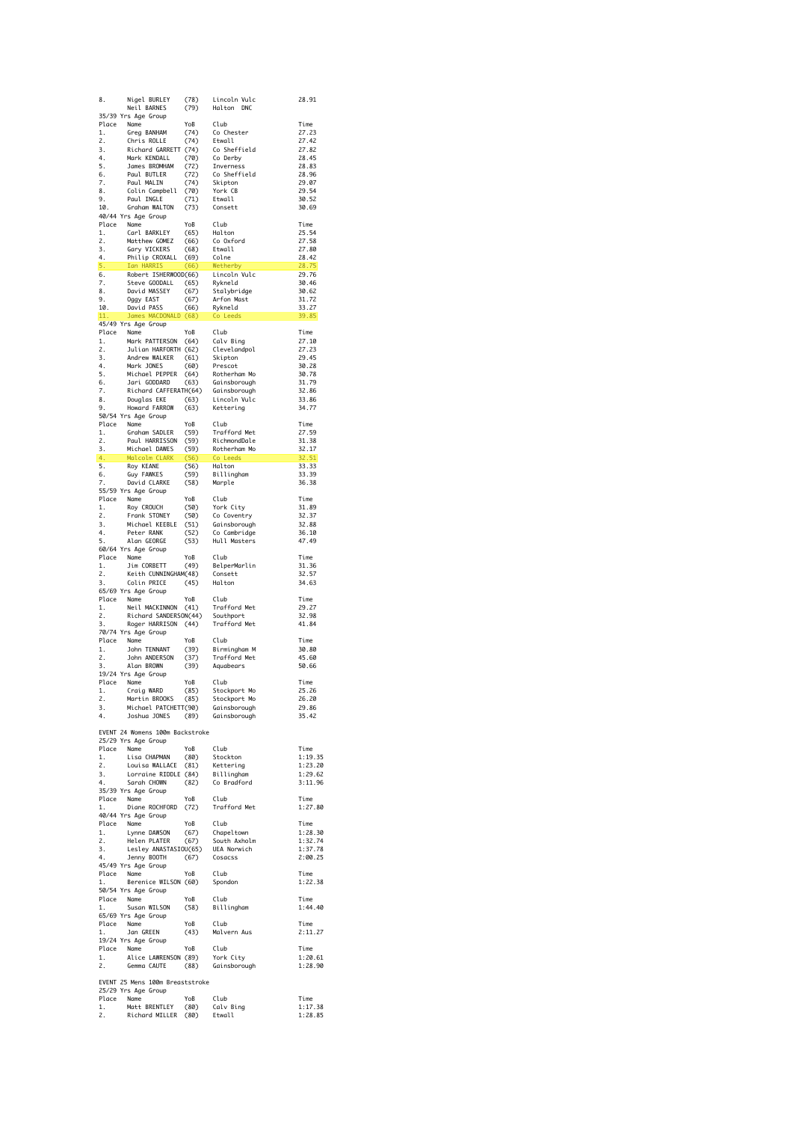|                 | Nigel BURLEY                                                                                                                                                                                                     | (78)             | Lincoln Vulc                       | 28.91              |
|-----------------|------------------------------------------------------------------------------------------------------------------------------------------------------------------------------------------------------------------|------------------|------------------------------------|--------------------|
|                 | Neil BARNES<br>35/39 Yrs Age Group                                                                                                                                                                               | (79)             | Halton DNC                         |                    |
|                 | Place Name                                                                                                                                                                                                       | YoB              | Club                               | Time               |
| 1.              | Greg BANHAM                                                                                                                                                                                                      | (74)             | Co Chester                         | 27.23              |
| 2.<br>3.        | Chris ROLLE<br>Richard GARRETT (74)                                                                                                                                                                              | (74)             | Etwall<br>Co Sheffield             | 27.42<br>27.82     |
| 4.              | Mark KENDALL                                                                                                                                                                                                     | (70)             | Co Derby<br>Thyerness              | 28.45              |
| 5.              | James BROMHAM<br>Paul BUTLER<br>Paul MALIN                                                                                                                                                                       | (72)             | Inverness                          | 28.83              |
| 6.              |                                                                                                                                                                                                                  | (72)             | Co Sheffield                       | 28.96              |
| 7.<br>8.        | Paul MALIN<br>Colin Campbell (70)                                                                                                                                                                                | (74)             | Skipton<br>York CB                 | 29.07<br>29.54     |
|                 | 9. Paul INGLE<br>10. Graham WALTON                                                                                                                                                                               | (71)             | Etwall                             | 30.52              |
|                 |                                                                                                                                                                                                                  | (73)             | Consett                            | 30.69              |
|                 | 40/44 Yrs Age Group                                                                                                                                                                                              | YoB              | Club                               | Time               |
| 1.              | Place Name<br>Carl BARKLEY                                                                                                                                                                                       | (65)             | Halton                             | 25.54              |
| 2.              | Matthew GOMEZ                                                                                                                                                                                                    | (66)             | Co Oxford                          | 27.58              |
| 3.              | Gary VICKERS                                                                                                                                                                                                     | (68)             | Etwall                             | 27.80              |
| 4.              | Philip CROXALL (69)<br>Ian HARRIS (66)                                                                                                                                                                           |                  | Colne                              | 28.42<br>28.75     |
|                 | 5. Ian HARNA<br>6. Robert ISHERWOOD(66)<br>Fieve GOODALL (65)                                                                                                                                                    | (66)             | Conerby<br>Lincoln Vulc<br>Rykneld | 29.76              |
|                 |                                                                                                                                                                                                                  |                  |                                    | 30.46              |
| 8.              | Steve GOODALL (65)<br>David MASSEY (67)                                                                                                                                                                          |                  | Stalybridge                        | 30.62              |
|                 | oggy EAST<br>10. David PASS<br>11. James                                                                                                                                                                         | (67)<br>(66)     | Arfon Mast<br>Rykneld              | 31.72<br>33.27     |
|                 | James MACDONALD (68)                                                                                                                                                                                             |                  | Co Leeds                           | 39.85              |
|                 | 45/49 Yrs Age Group                                                                                                                                                                                              |                  |                                    |                    |
|                 | Place Name                                                                                                                                                                                                       | YoB              | Club                               | Time               |
| 1.<br>2.        | Mark PATTERSON (64)<br>Julian HARFORTH (62)                                                                                                                                                                      |                  | Calv Bing                          | 27.10<br>27.23     |
| 3.              | Andrew WALKER (61)                                                                                                                                                                                               |                  | Clevelandpol<br>Skipton<br>Prescot | 29.45              |
|                 | Mark JONES                                                                                                                                                                                                       | (60)             |                                    | 30.28              |
|                 |                                                                                                                                                                                                                  |                  |                                    | 30.78              |
|                 |                                                                                                                                                                                                                  |                  |                                    | 31.79<br>32.86     |
|                 |                                                                                                                                                                                                                  |                  |                                    | 33.86              |
|                 |                                                                                                                                                                                                                  |                  |                                    | 34.77              |
|                 | 50/54 Yrs Age Group                                                                                                                                                                                              |                  |                                    |                    |
|                 | Place Name                                                                                                                                                                                                       | YoB              | Club                               | Time               |
| 1.<br>2.        | Graham SADLER<br>Paul HARRISSON                                                                                                                                                                                  | (59)<br>(59)     | Trafford Met<br>RichmondDale       | 27.59<br>31.38     |
| 3.              | Michael DAWES                                                                                                                                                                                                    | (59)             | Rotherham Mo                       | 32.17              |
| 4.              | Malcolm CLARK                                                                                                                                                                                                    | (56)             | Co Leeds                           | 32.51              |
| 5.              | Roy KEANE                                                                                                                                                                                                        | (56)             | Halton                             | 33.33              |
| 6.<br>7.        | Guy FAWKES<br>David CLARKE                                                                                                                                                                                       | (59)<br>(58)     | Billingham<br>Marple               | 33.39<br>36.38     |
|                 | 55/59 Yrs Age Group                                                                                                                                                                                              |                  |                                    |                    |
|                 | Place Name                                                                                                                                                                                                       | YoB              | Club                               | Time               |
| 1.              | Roy CROUCH                                                                                                                                                                                                       | $(50)$<br>$(50)$ | York City                          | 31.89              |
| 2.<br>3.        | Frank STONEY<br>Michael KEEBLE (51)                                                                                                                                                                              |                  | Co Coventry<br>Gainsborough        | 32.37<br>32.88     |
| 4.              | Peter RANK                                                                                                                                                                                                       | (52)             | Co Cambridge                       | 36.10              |
| 5.              | Alan GEORGE                                                                                                                                                                                                      | (53)             | Hull Masters                       | 47.49              |
|                 | 60/64 Yrs Age Group                                                                                                                                                                                              |                  |                                    |                    |
| 1.              | Place Name<br>Jim CORBETT                                                                                                                                                                                        | YoB<br>(49)      | Club<br>BelperMarlin               | Time<br>31.36      |
| 2.              | Keith CUNNINGHAM(48)                                                                                                                                                                                             |                  | Consett                            | 32.57              |
| $\frac{2}{3}$ . | Colin PRICE                                                                                                                                                                                                      | (45)             | Halton                             | 34.63              |
|                 | 65/69 Yrs Age Group                                                                                                                                                                                              |                  |                                    |                    |
| 1.              | Place Name<br>Neil MACKINNON                                                                                                                                                                                     | YoB<br>(41)      | Club<br>Trafford Met               | Time<br>29.27      |
| 2.              | Richard SANDERSON(44)                                                                                                                                                                                            |                  | Southport                          | 32.98              |
| 3.              | Roger HARRISON (44)                                                                                                                                                                                              |                  | Trafford Met                       | 41.84              |
|                 |                                                                                                                                                                                                                  |                  |                                    |                    |
|                 | 70/74 Yrs Age Group                                                                                                                                                                                              |                  |                                    |                    |
|                 | Place Name                                                                                                                                                                                                       | YoB              | Club                               | Time               |
| 1.<br>2.        | John TENNANT<br>John ANDERSON                                                                                                                                                                                    | (39)<br>(37)     | Birmingham M<br>Trafford Met       | 30.80<br>45.60     |
| 3.              | Alan BROWN                                                                                                                                                                                                       | (39)             | Aquabears                          | 50.66              |
|                 | 19/24 Yrs Age Group                                                                                                                                                                                              |                  |                                    |                    |
|                 | Place Name                                                                                                                                                                                                       | YoB              | Club                               | Time               |
|                 | Craig WARD                                                                                                                                                                                                       |                  |                                    | 25.26<br>26.20     |
|                 |                                                                                                                                                                                                                  |                  |                                    | 29.86              |
|                 | 1. Craig WARD (85) Stockport Mo<br>2. Martin BROOKS (85) Stockport Mo<br>3. Michael PATCHETT(90) Gainsborough<br>4. Joshua JONES (89) Gainsborough                                                               |                  |                                    | 35.42              |
|                 |                                                                                                                                                                                                                  |                  |                                    |                    |
|                 | EVENT 24 Womens 100m Backstroke<br>25/29 Yrs Age Group                                                                                                                                                           |                  |                                    |                    |
|                 |                                                                                                                                                                                                                  |                  |                                    | Time               |
|                 |                                                                                                                                                                                                                  |                  |                                    | 1:19.35            |
|                 |                                                                                                                                                                                                                  |                  |                                    | 1:23.20<br>1:29.62 |
|                 |                                                                                                                                                                                                                  |                  |                                    | 3:11.96            |
|                 | Place Name<br>1. Lisa CHAPMAN (80) Stockton<br>1. Lisa CHAPMAN (80) Stockton<br>2. Louisa WALLACE (81) Kettering<br>3. Lorraine RIDDLE (84) Billingham<br>4. Sarah CHOWN (82) Co Bradford<br>35/39 Yrs Age Group |                  |                                    |                    |
|                 |                                                                                                                                                                                                                  |                  |                                    | Time               |
|                 | Place Name YoB Club<br>1. Diane ROCHFORD (72) Traft<br>40/44 Yrs Age Group                                                                                                                                       |                  | Trafford Met                       | 1:27.80            |
|                 |                                                                                                                                                                                                                  |                  |                                    | Time               |
|                 |                                                                                                                                                                                                                  |                  |                                    | 1:28.30            |
|                 |                                                                                                                                                                                                                  |                  |                                    | 1:32.74            |
|                 |                                                                                                                                                                                                                  |                  |                                    | 1:37.78<br>2:00.25 |
|                 | Place Name<br>1. Lynne DAWSON (67) Chapeltown<br>2. Helen PLATER (67) South Axholm<br>3. Lesley ANASTASTOU(65) UEA Norwich<br>4. Jenny BOOTH (67) Cosacss<br>45/49 Yrs Age Group                                 |                  |                                    |                    |
|                 | Place Name                                                                                                                                                                                                       | YoB              | Club                               | Time               |
| 1.              | טטו<br>Berenice WILSON (60)<br>מטו                                                                                                                                                                               |                  | Spondon                            | 1:22.38            |
|                 | 50/54 Yrs Age Group                                                                                                                                                                                              |                  | Club                               | Time               |
| 1.              | Place Name                                                                                                                                                                                                       |                  | Billingham                         | 1:44.40            |
|                 | $YOB$<br>Susan WILSON (58)<br>Ins Age Group<br>65/69 Yrs Age Group                                                                                                                                               |                  |                                    |                    |
|                 |                                                                                                                                                                                                                  | YoB              | Club<br>Malvern Aus                | Time<br>2:11.27    |
|                 | Place Name<br>1. Jan GREEN<br>19/24 Yrs Age Group                                                                                                                                                                | ҮоВ<br>(43)      |                                    |                    |
|                 | Place Name                                                                                                                                                                                                       |                  |                                    | Time               |
|                 |                                                                                                                                                                                                                  |                  |                                    | 1:20.61            |
| $\frac{1}{2}$ . |                                                                                                                                                                                                                  |                  |                                    | 1:28.90            |
|                 | EVENT 25 Mens 100m Breaststroke                                                                                                                                                                                  |                  |                                    |                    |
|                 | 25/29 Yrs Age Group                                                                                                                                                                                              |                  |                                    |                    |
|                 |                                                                                                                                                                                                                  |                  |                                    | Time               |
|                 | Place Name YoB Club<br>1. Matt BRENTLEY (80) Calv Bing<br>2. Richard MILLER (80) Etwall                                                                                                                          |                  |                                    | 1:17.38<br>1:28.85 |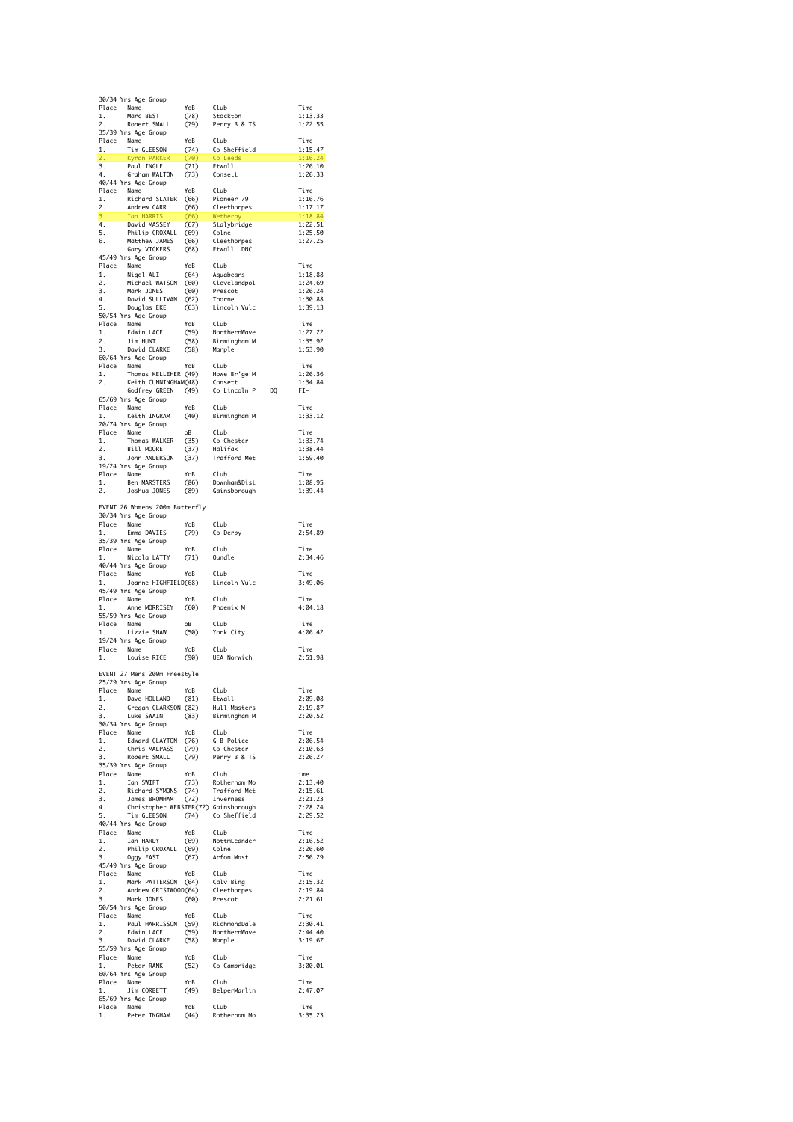|          | 30/34 Yrs Age Group                                                                                                                                                                                                                          |              |                                                                                                                       |                    |
|----------|----------------------------------------------------------------------------------------------------------------------------------------------------------------------------------------------------------------------------------------------|--------------|-----------------------------------------------------------------------------------------------------------------------|--------------------|
| 1.       | Place Name<br>Marc BEST                                                                                                                                                                                                                      | YoB<br>(78)  | Club<br>Stockton                                                                                                      | Time<br>1:13.33    |
| 2.       | Robert SMALL                                                                                                                                                                                                                                 | (79)         | Perry B & TS                                                                                                          | 1:22.55            |
|          | 35/39 Yrs Age Group                                                                                                                                                                                                                          |              |                                                                                                                       |                    |
|          | Place Name<br>1. Tim GLEESON<br>2. Kyran PARKER                                                                                                                                                                                              | YoB          | Club<br>(74) Co Sheffield                                                                                             | Time<br>1:15.47    |
|          |                                                                                                                                                                                                                                              | (70)         | Co Leeds                                                                                                              | 1:16.24            |
|          | 3. Paul INGLE<br>4. Graham WALT                                                                                                                                                                                                              | (71) Etwall  |                                                                                                                       | 1:26.10            |
| 4.       | Graham WALTON<br>40/44 Yrs Age Group                                                                                                                                                                                                         | (73)         | Consett                                                                                                               | 1:26.33            |
|          | Place Name<br>1. Richard SLATER                                                                                                                                                                                                              | YoB          | Club                                                                                                                  | Time               |
|          |                                                                                                                                                                                                                                              | (66)         | Pioneer 79                                                                                                            | 1:16.76            |
| 2.       | – ג' Richard<br>Andrew CARR<br>ג' החד HARRIS                                                                                                                                                                                                 | (66)<br>(66) | Cleethorpes<br>Wetherby                                                                                               | 1:17.17<br>1:18.84 |
|          | 3. Ian hannes<br>4. David MASSEY<br><sup>Dhilin</sup> CROXALL                                                                                                                                                                                | (67)         | Stalybridge                                                                                                           | 1:22.51            |
|          |                                                                                                                                                                                                                                              | (69)         | Colne                                                                                                                 | 1:25.50            |
| 6.       | Matthew JAMES<br>Gary VICKERS                                                                                                                                                                                                                | (66)<br>(68) | Cleethorpes<br>Etwall DNC                                                                                             | 1:27.25            |
|          | 45/49 Yrs Age Group                                                                                                                                                                                                                          |              |                                                                                                                       |                    |
|          | Place Name<br>1. Nigel ALI<br>2 Michael WA                                                                                                                                                                                                   | YoB          | Club                                                                                                                  | Time               |
| 2.       | Michael WATSON                                                                                                                                                                                                                               | (64)<br>(60) | Aquabears<br>Clevelandpol                                                                                             | 1:18.88<br>1:24.69 |
| 3.       | Mark JONES                                                                                                                                                                                                                                   | (60)         | Prescot                                                                                                               | 1:26.24            |
| 4.       | David SULLIVAN                                                                                                                                                                                                                               | (62)         | Thorne                                                                                                                | 1:30.88            |
| 5.       | Douglas EKE<br>50/54 Yrs Age Group                                                                                                                                                                                                           | (63)         | Lincoln Vulc                                                                                                          | 1:39.13            |
|          | Place Name                                                                                                                                                                                                                                   | YoB          | Club                                                                                                                  | Time               |
| 1.<br>2. | Edwin LACE<br>Jim HUNT                                                                                                                                                                                                                       | (59)<br>(58) | NorthernWave<br>Birmingham M                                                                                          | 1:27.22<br>1:35.92 |
| 3.       | David CLARKE                                                                                                                                                                                                                                 | (58)         | Marple                                                                                                                | 1:53.90            |
|          | 60/64 Yrs Age Group                                                                                                                                                                                                                          |              |                                                                                                                       |                    |
| 1.       | Place Name<br>Thomas KELLEHER (49)                                                                                                                                                                                                           | YoB          | Club                                                                                                                  | Time<br>1:26.36    |
| 2.       | Numm<br>Thomas KELLEHER (49)<br>Keith CUNNINGHAM(48) Consett<br>Marcon Capern (49) Colincoln P                                                                                                                                               |              |                                                                                                                       | 1:34.84            |
|          |                                                                                                                                                                                                                                              |              | DQ                                                                                                                    | FI-                |
|          | 65/69 Yrs Age Group                                                                                                                                                                                                                          | YoB          | Club                                                                                                                  | Time               |
| 1.       | Place Name<br>Keith INGRAM                                                                                                                                                                                                                   | (40)         | Birmingham M                                                                                                          | 1:33.12            |
|          | 70/74 Yrs Age Group                                                                                                                                                                                                                          |              |                                                                                                                       |                    |
| 1.       | Place Name<br>Thomas WALKER                                                                                                                                                                                                                  | oB           | Club<br>Ciub<br>Co Chester                                                                                            | Time               |
| 2.       | maLKER دی<br>Bill MOORE<br>منابع                                                                                                                                                                                                             | (35)<br>(37) | Halifax                                                                                                               | 1:33.74<br>1:38.44 |
| 3.       | John ANDERSON                                                                                                                                                                                                                                | (37)         | Trafford Met                                                                                                          | 1:59.40            |
|          | 19/24 Yrs Age Group                                                                                                                                                                                                                          | YoB          | Club                                                                                                                  | Time               |
| 1.       | Place Name<br>Ben MARSTERS                                                                                                                                                                                                                   | (86)         | Downham&Dist                                                                                                          | 1:08.95            |
| 2.       | Joshua JONES                                                                                                                                                                                                                                 | (89)         | Gainsborough                                                                                                          | 1:39.44            |
|          | EVENT 26 Womens 200m Butterfly                                                                                                                                                                                                               |              |                                                                                                                       |                    |
|          | 30/34 Yrs Age Group                                                                                                                                                                                                                          |              |                                                                                                                       |                    |
|          | Place Name                                                                                                                                                                                                                                   | YoB          | Club                                                                                                                  | Time               |
| 1.       | Emma DAVIES<br>35/39 Yrs Age Group                                                                                                                                                                                                           | (79)         | Co Derby                                                                                                              | 2:54.89            |
|          | Place Name                                                                                                                                                                                                                                   | YoB          | Club                                                                                                                  | Time               |
|          | Nicola LATTY                                                                                                                                                                                                                                 | (71)         | Oundle                                                                                                                | 2:34.46            |
|          | 40/44 Yrs Age Group                                                                                                                                                                                                                          | YoB          | Club                                                                                                                  | Time               |
| 1.       | Place Name<br>Joanne HIGHFIELD(68)                                                                                                                                                                                                           |              | Lincoln Vulc                                                                                                          | 3:49.06            |
|          | 45/49 Yrs Age Group                                                                                                                                                                                                                          |              |                                                                                                                       |                    |
| 1.       | Place Name<br>Anne MORRISEY                                                                                                                                                                                                                  | YoB<br>(60)  | Club<br>Phoenix M                                                                                                     | Time<br>4:04.18    |
|          | 55/59 Yrs Age Group                                                                                                                                                                                                                          |              |                                                                                                                       |                    |
|          | Place Name                                                                                                                                                                                                                                   | оB           | Club                                                                                                                  | Time               |
| 1.       | Lizzie SHAW<br>19/24 Yrs Age Group                                                                                                                                                                                                           | (50)         | York City                                                                                                             | 4:06.42            |
|          | Place Name                                                                                                                                                                                                                                   | YoB          | Club                                                                                                                  | Time               |
| 1.       | Louise RICE                                                                                                                                                                                                                                  | (90)         | UEA Norwich                                                                                                           | 2:51.98            |
|          | EVENT 27 Mens 200m Freestyle                                                                                                                                                                                                                 |              |                                                                                                                       |                    |
|          | 25/29 Yrs Age Group                                                                                                                                                                                                                          |              |                                                                                                                       |                    |
|          | Place Name<br>Place Name<br>2. Gregan CLARKSON (82) Etwall<br>2. Gregan CLARKSON (82) Hull Masters<br>3. Luke SWAIN (83) Birmingham M                                                                                                        |              |                                                                                                                       | Time               |
|          |                                                                                                                                                                                                                                              |              |                                                                                                                       | 2:09.08<br>2:19.87 |
|          |                                                                                                                                                                                                                                              |              |                                                                                                                       | 2:20.52            |
|          | 30/34 Yrs Age Group                                                                                                                                                                                                                          |              |                                                                                                                       |                    |
|          |                                                                                                                                                                                                                                              |              |                                                                                                                       | Time<br>2:06.54    |
|          |                                                                                                                                                                                                                                              |              |                                                                                                                       | 2:10.63            |
|          | Place Name<br>1. Edward CLAYTON (76) G B Police<br>2. Chris MALPASS (79) Co Chester<br>3. Robert SMALL (79) Perry B & TS<br>35/39 Yrs Age Group                                                                                              |              |                                                                                                                       | 2:26.27            |
|          |                                                                                                                                                                                                                                              |              |                                                                                                                       | ime                |
|          | Place Name<br>1. Ian SWIFT (73) Rotherham Mo<br>1. Ian SWIFT (73) Trafford Met<br>2. Richard SWOMS (74) Trafford Met<br>3. James BROMHAM (72) Inverness<br>4. Christopher WEBSTER(72) Gainsborough<br>5. Tim GLEESON (74) Co Sheffield<br>40 |              |                                                                                                                       | 2:13.40            |
|          |                                                                                                                                                                                                                                              |              |                                                                                                                       | 2:15.61<br>2:21.23 |
|          |                                                                                                                                                                                                                                              |              |                                                                                                                       | 2:28.24            |
|          |                                                                                                                                                                                                                                              |              |                                                                                                                       | 2:29.52            |
|          | 40/44 Yrs Age Group                                                                                                                                                                                                                          |              |                                                                                                                       | Time               |
|          |                                                                                                                                                                                                                                              |              | Place Name YoB Club<br>1. Ian HARDY (69) Nottmleander<br>2. Philip CROXALL (69) Colne<br>3. Oggy EAST (67) Arfon Mast | 2:16.52            |
|          |                                                                                                                                                                                                                                              |              |                                                                                                                       | 2:26.60            |
|          | 45/49 Yrs Age Group                                                                                                                                                                                                                          |              |                                                                                                                       | 2:56.29            |
|          |                                                                                                                                                                                                                                              |              |                                                                                                                       | Time               |
|          | Place Name<br>1. Mark PATTERSON (64) Calv Bing<br>2. Andrew GRISTWOOD(64) Cleethorpes<br>3. Mark JONES (60) Prescot                                                                                                                          |              |                                                                                                                       | 2:15.32            |
|          |                                                                                                                                                                                                                                              |              |                                                                                                                       | 2:19.84<br>2:21.61 |
|          | 50/54 Yrs Age Group                                                                                                                                                                                                                          |              |                                                                                                                       |                    |
|          | Place Name<br>1. Paul                                                                                                                                                                                                                        | YoB          | Club                                                                                                                  | Time               |
|          |                                                                                                                                                                                                                                              |              |                                                                                                                       | 2:30.41<br>2:44.40 |
|          |                                                                                                                                                                                                                                              |              |                                                                                                                       | 3:19.67            |
|          |                                                                                                                                                                                                                                              |              |                                                                                                                       | Time               |
|          | Place Name<br>1. Peter RANK<br>60/64 Yrs Age Group                                                                                                                                                                                           |              | YoB Club<br>(52) Co-Cambridge                                                                                         | 3:00.01            |
|          |                                                                                                                                                                                                                                              |              |                                                                                                                       |                    |
| 1.       | Place Name<br>1 lim<br>Jim CORBETT                                                                                                                                                                                                           |              | YoB Club<br>(49) BelperMarlin                                                                                         | Time<br>2:47.07    |
|          | 65/69 Yrs Age Group                                                                                                                                                                                                                          |              |                                                                                                                       |                    |
|          | Place Name<br>Name YoB Club<br>Peter INGHAM (44) Rotherham Mo                                                                                                                                                                                |              |                                                                                                                       | Time               |
| 1.       |                                                                                                                                                                                                                                              |              |                                                                                                                       | 3:35.23            |